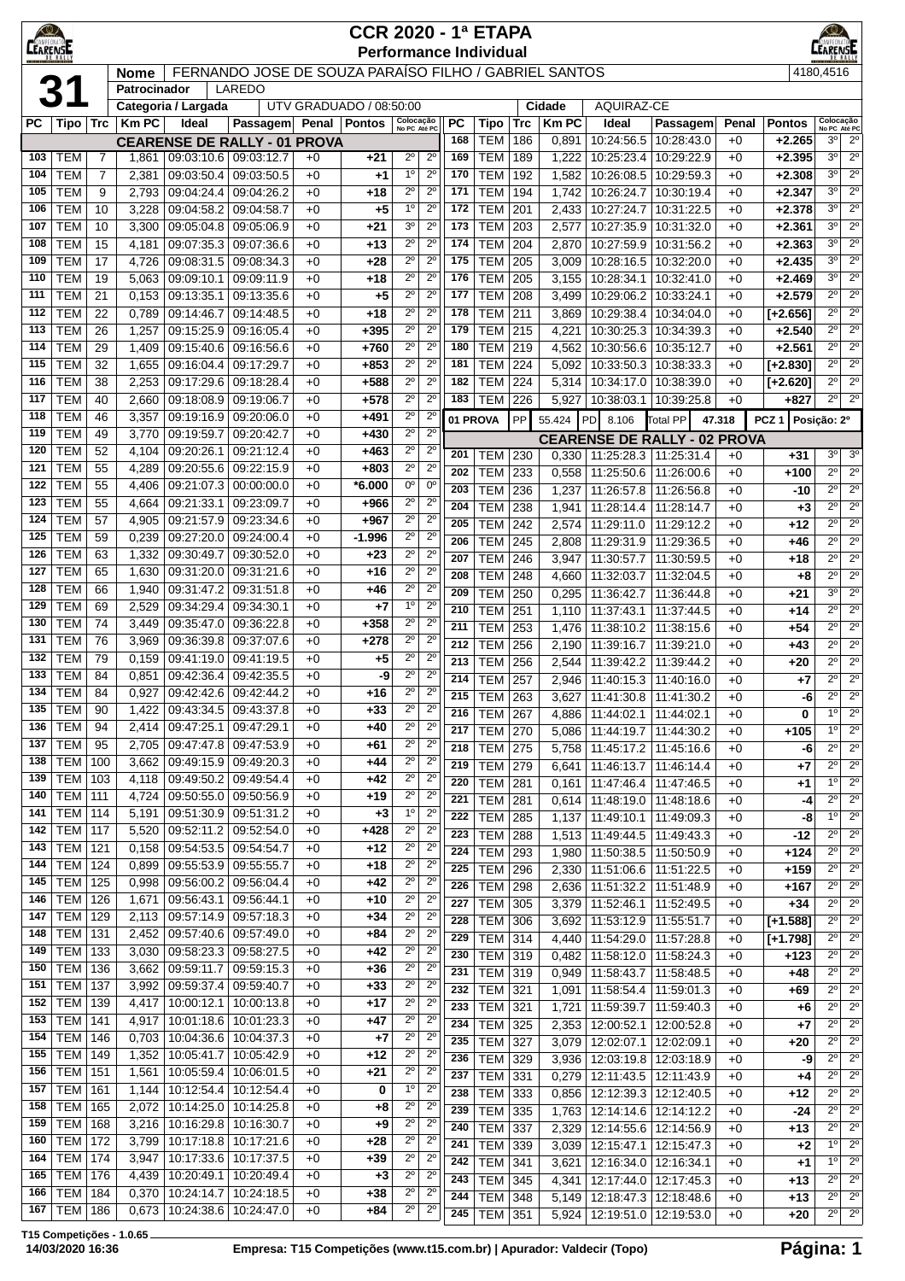| <b>LEARENS</b> |                                  |                |                |                                     |                                                              |              | <b>CCR 2020 - 1ª ETAPA</b><br><b>Performance Individual</b> |                               |                            |                  |                                  |            |                        |                                 |                                                        |               |                                 |                                       |                                       |  |  |  |  |
|----------------|----------------------------------|----------------|----------------|-------------------------------------|--------------------------------------------------------------|--------------|-------------------------------------------------------------|-------------------------------|----------------------------|------------------|----------------------------------|------------|------------------------|---------------------------------|--------------------------------------------------------|---------------|---------------------------------|---------------------------------------|---------------------------------------|--|--|--|--|
|                |                                  |                | <b>Nome</b>    |                                     |                                                              |              | FERNANDO JOSE DE SOUZA PARAÍSO FILHO / GABRIEL SANTOS       |                               |                            |                  |                                  |            |                        |                                 |                                                        |               |                                 | 4180,4516                             |                                       |  |  |  |  |
|                |                                  |                | Patrocinador   |                                     | LAREDO                                                       |              |                                                             |                               |                            |                  |                                  |            |                        |                                 |                                                        |               |                                 |                                       |                                       |  |  |  |  |
|                |                                  |                |                | Categoria / Largada                 |                                                              |              | UTV GRADUADO / 08:50:00                                     |                               |                            |                  |                                  |            | Cidade<br><b>Km PC</b> | <b>AQUIRAZ-CE</b>               |                                                        |               |                                 |                                       |                                       |  |  |  |  |
| РC             | $ $ Tipo $ $ Trc                 |                | <b>Km PC</b>   | Ideal                               | Passagem Penal Pontos<br><b>CEARENSE DE RALLY - 01 PROVA</b> |              |                                                             | Colocação<br>No PC Até PC     |                            | <b>PC</b><br>168 | Tipo<br><b>TEM</b>               | Trc<br>186 | 0,891                  | Ideal<br>10:24:56.5             | Passagem<br>10:28:43.0                                 | Penal<br>$+0$ | <b>Pontos</b><br>$+2.265$       | Colocação<br>No PC Até PC<br>3º       | $2^{\circ}$                           |  |  |  |  |
| 103            | <b>TEM</b>                       | $\overline{7}$ | 1,861          | 09:03:10.6                          | 09:03:12.7                                                   | $+0$         | +21                                                         | $2^{\circ}$                   | $2^{\circ}$                | 169              | <b>TEM</b>                       | 189        | 1,222                  | 10:25:23.4                      | 10:29:22.9                                             | $+0$          | $+2.395$                        | $3^{\circ}$                           | $2^{\circ}$                           |  |  |  |  |
| 104            | <b>TEM</b>                       | $\overline{7}$ | 2,381          | 09:03:50.4                          | 09:03:50.5                                                   | $+0$         | $+1$                                                        | $1^{\circ}$                   | $2^{\circ}$                | 170              | <b>TEM</b>                       | 192        | 1,582                  | 10:26:08.5                      | 10:29:59.3                                             | $+0$          | $+2.308$                        | $3^{\circ}$                           | $\overline{2^{\circ}}$                |  |  |  |  |
| 105            | <b>TEM</b>                       | 9              | 2,793          |                                     | 09:04:24.4 09:04:26.2                                        | $+0$         | +18                                                         | $2^{\circ}$                   | $2^{\circ}$                | 171              | <b>TEM</b>                       | 194        | 1,742                  | 10:26:24.7                      | 10:30:19.4                                             | $+0$          | $+2.347$                        | $3^{\circ}$                           | $2^{\circ}$                           |  |  |  |  |
| 106<br>107     | <b>TEM</b><br><b>TEM</b>         | 10<br>10       | 3,228<br>3,300 | 09:04:58.2<br>09:05:04.8            | 09:04:58.7<br>09:05:06.9                                     | $+0$<br>$+0$ | $+5$<br>+21                                                 | $1^{\circ}$<br>3 <sup>0</sup> | $2^{\circ}$<br>$2^{\circ}$ | 172<br>173       | <b>TEM</b><br><b>TEM</b>         | 201<br>203 | 2,433<br>2,577         | 10:27:24.7<br>10:27:35.9        | 10:31:22.5<br>10:31:32.0                               | $+0$<br>$+0$  | $+2.378$<br>$+2.361$            | $3^{\circ}$<br>$3^{\circ}$            | $2^{\circ}$<br>$2^{\circ}$            |  |  |  |  |
| 108            | <b>TEM</b>                       | 15             | 4,181          | 09:07:35.3                          | 09:07:36.6                                                   | $+0$         | +13                                                         | $2^{\circ}$                   | $2^{\circ}$                | 174              | <b>TEM</b>                       | 204        | 2,870                  | 10:27:59.9                      | 10:31:56.2                                             | $+0$          | $+2.363$                        | $3^{\circ}$                           | $2^{\circ}$                           |  |  |  |  |
| 109            | <b>TEM</b>                       | 17             | 4,726          | 09:08:31.5                          | 09:08:34.3                                                   | $+0$         | +28                                                         | $2^{\circ}$                   | $2^{\circ}$                | 175              | <b>TEM</b>                       | 205        | 3,009                  | 10:28:16.5                      | 10:32:20.0                                             | $+0$          | $+2.435$                        | 3 <sup>0</sup>                        | $2^{\circ}$                           |  |  |  |  |
| 110            | <b>TEM</b>                       | 19             | 5,063          | 09:09:10.1                          | 09:09:11.9                                                   | $+0$         | +18                                                         | $2^{\circ}$                   | $2^{\circ}$                | 176              | <b>TEM</b>                       | 205        | 3,155                  | 10:28:34.1                      | 10:32:41.0                                             | $+0$          | $+2.469$                        | $3^{\circ}$                           | $2^{\circ}$                           |  |  |  |  |
| 111<br>112     | <b>TEM</b><br><b>TEM</b>         | 21<br>22       | 0,153<br>0,789 | 09:13:35.1<br>09:14:46.7            | 09:13:35.6<br>09:14:48.5                                     | $+0$<br>$+0$ | $+5$<br>+18                                                 | $2^{\circ}$<br>$2^{\circ}$    | $2^{\circ}$<br>$2^{\circ}$ | 177<br>178       | <b>TEM</b><br><b>TEM</b>         | 208<br>211 | 3,499<br>3,869         | 10:29:06.2<br>10:29:38.4        | 10:33:24.1<br>10:34:04.0                               | $+0$<br>$+0$  | $+2.579$<br>$[+2.656]$          | $2^{\circ}$<br>$2^{\circ}$            | $2^{\circ}$<br>$2^{\circ}$            |  |  |  |  |
| 113            | <b>TEM</b>                       | 26             | 1,257          | 09:15:25.9                          | 09:16:05.4                                                   | $+0$         | $+395$                                                      | $2^{\circ}$                   | $2^{\circ}$                | 179              | <b>TEM</b>                       | 215        | 4,221                  | 10:30:25.3                      | 10:34:39.3                                             | $+0$          | $+2.540$                        | $2^{\circ}$                           | $2^{\circ}$                           |  |  |  |  |
| 114            | <b>TEM</b>                       | 29             | 1,409          | 09:15:40.6                          | 09:16:56.6                                                   | $+0$         | $+760$                                                      | $2^{\circ}$                   | $2^{\circ}$                | 180              | <b>TEM</b>                       | 219        | 4,562                  | 10:30:56.6                      | 10:35:12.7                                             | $+0$          | $+2.561$                        | $2^{\circ}$                           | $2^{\circ}$                           |  |  |  |  |
| 115            | <b>TEM</b>                       | 32             | 1,655          | 09:16:04.4                          | 09:17:29.7                                                   | $+0$         | $+853$                                                      | $2^{\circ}$                   | $2^{\circ}$                | 181              | <b>TEM</b>                       | 224        | 5,092                  | 10:33:50.3                      | 10:38:33.3                                             | $+0$          | $[-2.830]$                      | $2^{\circ}$                           | $2^{\circ}$                           |  |  |  |  |
| 116            | <b>TEM</b>                       | 38             | 2,253          | 09:17:29.6                          | 09:18:28.4                                                   | $+0$         | +588                                                        | $2^{\circ}$                   | $2^{\circ}$                | 182              | <b>TEM</b>                       | 224        | 5,314                  | 10:34:17.0                      | 10:38:39.0                                             | $+0$          | [+2.620]                        | $2^{\circ}$                           | $2^{\circ}$                           |  |  |  |  |
| 117<br>118     | <b>TEM</b><br><b>TEM</b>         | 40<br>46       | 2,660<br>3,357 | 09:18:08.9<br>09:19:16.9            | 09:19:06.7<br>09:20:06.0                                     | $+0$<br>$+0$ | $+578$<br>$+491$                                            | $2^{\circ}$<br>$2^{\circ}$    | $2^{\circ}$<br>$2^{\circ}$ | 183              | <b>TEM</b>                       | 226<br>PP  | 5,927                  | 10:38:03.1                      | 10:39:25.8                                             | $+0$          | $+827$                          | $2^{\circ}$                           | $2^{\circ}$                           |  |  |  |  |
| 119            | <b>TEM</b>                       | 49             | 3,770          | 09:19:59.7                          | 09:20:42.7                                                   | $+0$         | $+430$                                                      | $2^{\circ}$                   | $2^{\circ}$                |                  | 01 PROVA                         |            | 55.424                 | PD<br>8.106                     | <b>Total PP</b><br><b>CEARENSE DE RALLY - 02 PROVA</b> | 47.318        | PCZ <sub>1</sub><br>Posição: 2º |                                       |                                       |  |  |  |  |
| 120            | <b>TEM</b>                       | 52             | 4,104          | 09:20:26.1                          | 09:21:12.4                                                   | $+0$         | $+463$                                                      | $2^{\circ}$                   | $2^{\circ}$                | 201              | TEM                              | 230        | 0,330                  | 11:25:28.3                      | 11:25:31.4                                             | $+0$          | +31                             | 3º                                    | $3^\circ$                             |  |  |  |  |
| 121            | <b>TEM</b>                       | 55             | 4,289          | 09:20:55.6                          | 09:22:15.9                                                   | $+0$         | $+803$                                                      | $2^{\circ}$                   | $2^{\circ}$                | 202              | <b>TEM</b>                       | 233        | 0,558                  | 11:25:50.6                      | 11:26:00.6                                             | $+0$          | +100                            | $2^{\circ}$                           | $\overline{2^{\circ}}$                |  |  |  |  |
| 122<br>123     | <b>TEM</b><br><b>TEM</b>         | 55<br>55       | 4,406          | 09:21:07.3<br>09:21:33.1            | 00:00:00.0<br>09:23:09.7                                     | $+0$         | $*6.000$<br>+966                                            | 0°<br>$2^{\circ}$             | $0^{\circ}$<br>$2^{\circ}$ | 203              | <b>TEM</b>                       | 236        | 1,237                  | 11:26:57.8                      | 11:26:56.8                                             | $+0$          | -10                             | $\overline{2^{\circ}}$                | $2^{\circ}$                           |  |  |  |  |
| 124            | <b>TEM</b>                       | 57             | 4,664<br>4,905 | 09:21:57.9                          | 09:23:34.6                                                   | $+0$<br>$+0$ | $+967$                                                      | $2^{\circ}$                   | $2^{\circ}$                | 204              | <b>TEM</b>                       | 238        | 1,941                  | 11:28:14.4   11:28:14.7         |                                                        | $+0$          | $+3$                            | $2^{\circ}$                           | $2^{\circ}$                           |  |  |  |  |
| 125            | <b>TEM</b>                       | 59             | 0,239          | 09:27:20.0                          | 09:24:00.4                                                   | $+0$         | $-1.996$                                                    | $2^{\circ}$                   | $2^{\circ}$                | 205<br>206       | <b>TEM</b><br><b>TEM</b>         | 242<br>245 | 2,574<br>2,808         | 11:29:11.0<br>11:29:31.9        | 11:29:12.2<br>11:29:36.5                               | $+0$<br>$+0$  | +12<br>+46                      | $2^{\circ}$<br>$2^{\circ}$            | $2^{\circ}$<br>$2^{\circ}$            |  |  |  |  |
| 126            | <b>TEM</b>                       | 63             | 1,332          | 09:30:49.7                          | 09:30:52.0                                                   | $+0$         | $+23$                                                       | $2^{\circ}$                   | $2^{\circ}$                | 207              | <b>TEM</b>                       | 246        | 3,947                  | 11:30:57.7                      | 11:30:59.5                                             | $+0$          | $+18$                           | $2^{\circ}$                           | $\overline{2^{\circ}}$                |  |  |  |  |
| 127            | <b>TEM</b>                       | 65             | 1,630          | 09:31:20.0                          | 09:31:21.6                                                   | $+0$         | +16                                                         | $2^{\circ}$                   | $2^{\circ}$                | 208              | <b>TEM</b>                       | 248        | 4,660                  | 11:32:03.7                      | 11:32:04.5                                             | $+0$          | +8                              | $\overline{2^{\circ}}$                | $2^{\circ}$                           |  |  |  |  |
| 128            | <b>TEM</b>                       | 66             | 1,940          | 09:31:47.2                          | 09:31:51.8                                                   | $+0$         | +46                                                         | $2^{\circ}$                   | $2^{\circ}$                | 209              | <b>TEM</b>                       | 250        | 0,295                  | 11:36:42.7                      | 11:36:44.8                                             | $+0$          | $+21$                           | 3 <sup>o</sup>                        | $2^{\circ}$                           |  |  |  |  |
| 129<br>130     | <b>TEM</b><br><b>TEM</b>         | 69<br>74       | 2,529<br>3,449 | 09:34:29.4<br>09:35:47.0            | 09:34:30.1<br>09:36:22.8                                     | $+0$<br>$+0$ | +7<br>$+358$                                                | $1^{\circ}$<br>$2^{\circ}$    | $2^{\circ}$<br>$2^{\circ}$ | 210              | <b>TEM</b>                       | 251        | 1,110                  | 11:37:43.1                      | 11:37:44.5                                             | $+0$          | +14                             | $2^{\circ}$                           | $2^{\circ}$                           |  |  |  |  |
| 131            | <b>TEM</b>                       | 76             | 3,969          | 09:36:39.8                          | 09:37:07.6                                                   | $+0$         | $+278$                                                      | $2^{\circ}$                   | $2^{\circ}$                | 211              | <b>TEM</b>                       | 253        | 1,476                  | 11:38:10.2                      | 11:38:15.6                                             | $+0$          | +54                             | $2^{\circ}$<br>$2^{\circ}$            | $2^{\circ}$<br>$2^{\circ}$            |  |  |  |  |
| 132            | <b>TEM</b>                       | 79             | 0,159          | 09:41:19.0                          | 09:41:19.5                                                   | $+0$         | +5                                                          | $2^{\circ}$                   | $2^{\circ}$                | 212<br>213       | <b>TEM</b><br><b>TEM</b>         | 256<br>256 | 2,190<br>2,544         | 11:39:16.7<br>11:39:42.2        | 11:39:21.0<br>11:39:44.2                               | $+0$<br>$+0$  | +43<br>+20                      | $\overline{2^{\circ}}$                | $2^{\circ}$                           |  |  |  |  |
| 133            | <b>TEM</b>                       | 84             | 0,851          | 09:42:36.4                          | 09:42:35.5                                                   | $+0$         | -9                                                          | $2^{\circ}$                   | $2^{\circ}$                | 214              | <b>TEM</b>                       | 257        | 2,946                  | 11:40:15.3                      | 11:40:16.0                                             | $+0$          | +7                              | $2^{\circ}$                           | $\overline{2^{\circ}}$                |  |  |  |  |
| 134            | <b>TEM</b>                       | 84             | 0,927          | 09:42:42.6                          | 09:42:44.2                                                   | $+0$         | +16                                                         | $2^{\circ}$                   | $2^{\circ}$                | 215              | <b>TEM</b>                       | 263        | 3,627                  | 11:41:30.8                      | 11:41:30.2                                             | $+0$          | -6                              | $\overline{2^{\circ}}$                | $2^{\circ}$                           |  |  |  |  |
|                | 135   TEM $ $                    | 90             |                | 1,422   09:43:34.5   09:43:37.8     |                                                              | $+0$         | +33                                                         | $2^{\circ}$                   | $2^{\circ}$                | 216              | TEM   267                        |            |                        | 4,886   11:44:02.1   11:44:02.1 |                                                        | $+0$          | 0                               | $1^{\circ}$                           | $2^{\circ}$                           |  |  |  |  |
| 136<br>137     | <b>TEM</b><br><b>TEM</b>         | 94<br>95       | 2.414<br>2,705 | 09:47:25.1                          | 09:47:29.1<br>09:47:47.8 09:47:53.9                          | $+0$<br>$+0$ | +40<br>+61                                                  | $2^{\circ}$<br>$2^{\circ}$    | $2^{\circ}$<br>$2^{\circ}$ | 217              | <b>TEM 270</b>                   |            | 5,086                  | 11:44:19.7                      | 11:44:30.2                                             | $+0$          | $+105$                          | $1^{\circ}$                           | $2^{\circ}$                           |  |  |  |  |
| 138            | <b>TEM   100</b>                 |                | 3,662          |                                     | $09:49:15.9$ 09:49:20.3                                      | $+0$         | +44                                                         | $2^{\circ}$                   | $2^{\circ}$                | 218<br>219       | <b>TEM 275</b><br><b>TEM</b>     | 279        | 5,758<br>6,641         |                                 | 11:45:17.2   11:45:16.6<br>11:46:13.7   11:46:14.4     | $+0$<br>$+0$  | -6<br>$+7$                      | $2^{\circ}$<br>$2^{\circ}$            | $2^{\circ}$<br>$\overline{2^{\circ}}$ |  |  |  |  |
| 139            | TEM   103                        |                | 4,118          | 09:49:50.2                          | 09:49:54.4                                                   | $+0$         | +42                                                         | $2^{\circ}$                   | $2^{\circ}$                | 220              | <b>TEM</b>                       | 281        | 0,161                  | 11:47:46.4                      | 11:47:46.5                                             | $+0$          | +1                              | $1^{\circ}$                           | $2^{\circ}$                           |  |  |  |  |
| 140            | <b>TEM 111</b>                   |                | 4,724          | 09:50:55.0                          | 09:50:56.9                                                   | $+0$         | $+19$                                                       | $2^{\circ}$                   | $2^{\circ}$                | 221              | TEM                              | 281        | 0,614                  | 11:48:19.0                      | 11:48:18.6                                             | $+0$          | -4                              | $2^{\circ}$                           | $2^{\circ}$                           |  |  |  |  |
| 141            | <b>TEM 114</b>                   |                | 5,191          | 09:51:30.9                          | 09:51:31.2                                                   | $+0$         | $+3$                                                        | $1^{\rm o}$                   | $2^{\circ}$                | 222              | <b>TEM</b>                       | 285        | 1,137                  | 11:49:10.1                      | 11:49:09.3                                             | $+0$          | -8                              | 10                                    | $2^{\circ}$                           |  |  |  |  |
| 142<br>143     | <b>TEM 117</b><br>$TEM$ 121      |                | 5,520<br>0,158 | 09:52:11.2<br>09:54:53.5 09:54:54.7 | 09:52:54.0                                                   | $+0$<br>$+0$ | $+428$<br>+12                                               | $2^{\circ}$<br>$2^{\circ}$    | $2^{\circ}$<br>$2^{\circ}$ | 223              | TEM                              | 288        | 1,513                  | 11:49:44.5                      | 11:49:43.3                                             | $+0$          | -12                             | $2^{\circ}$                           | $2^{\circ}$                           |  |  |  |  |
| 144            | $TEM$ 124                        |                | 0,899          | 09:55:53.9                          | 09:55:55.7                                                   | $+0$         | +18                                                         | $2^{\circ}$                   | $2^{\circ}$                | 224<br>225       | <b>TEM</b><br><b>TEM</b>         | 293<br>296 | 1,980<br>2,330         | 11:51:06.6                      | 11:50:38.5   11:50:50.9<br>11:51:22.5                  | $+0$<br>$+0$  | $+124$<br>$+159$                | $2^{\circ}$<br>$2^{\circ}$            | $2^{\circ}$<br>$2^{\circ}$            |  |  |  |  |
| 145            | <b>TEM 125</b>                   |                | 0,998          | 09:56:00.2                          | 09:56:04.4                                                   | $+0$         | $+42$                                                       | $2^{\circ}$                   | $2^{\circ}$                | 226              | <b>TEM</b>                       | 298        | 2,636                  | 11:51:32.2                      | 11:51:48.9                                             | $+0$          | $+167$                          | $2^{\circ}$                           | $2^{\circ}$                           |  |  |  |  |
| 146            | <b>TEM 126</b>                   |                | 1,671          |                                     | 09:56:43.1 09:56:44.1                                        | $+0$         | $+10$                                                       | $2^{\circ}$                   | $2^{\circ}$                | $\overline{227}$ | <b>TEM</b>                       | 305        | 3,379                  | 11:52:46.1                      | 11:52:49.5                                             | $+0$          | $+34$                           | $2^{\circ}$                           | $\overline{2^{\circ}}$                |  |  |  |  |
| 147            | <b>TEM 129</b>                   |                |                |                                     | 2,113 09:57:14.9 09:57:18.3                                  | $+0$         | $+34$                                                       | $2^{\circ}$                   | $2^{\circ}$                | 228              | <b>TEM</b>                       | 306        | 3,692                  | 11:53:12.9   11:55:51.7         |                                                        | $+0$          | $[+1.588]$                      | $2^{\circ}$                           | $2^{\circ}$                           |  |  |  |  |
| 148<br>149     | <b>TEM 131</b><br><b>TEM 133</b> |                |                | 2,452 09:57:40.6<br>09:58:23.3      | 09:57:49.0<br>09:58:27.5                                     | $+0$         | $+84$                                                       | $2^{\circ}$<br>$2^{\circ}$    | $2^{\circ}$<br>$2^{\circ}$ | 229              | TEM                              | 314        | 4,440                  | 11:54:29.0                      | 11:57:28.8                                             | $+0$          | $[-1.798]$                      | $2^{\circ}$                           | $2^{\circ}$                           |  |  |  |  |
| 150            | TEM   136                        |                | 3,030<br>3,662 | 09:59:11.7                          | 09:59:15.3                                                   | $+0$<br>$+0$ | $+42$<br>+36                                                | $2^{\circ}$                   | $2^{\circ}$                | 230<br>231       | TEM 319                          |            | 0,482                  | 11:58:12.0                      | 11:58:24.3                                             | $+0$          | $+123$                          | $2^{\circ}$<br>$\overline{2^{\circ}}$ | $2^{\circ}$<br>$2^{\circ}$            |  |  |  |  |
| 151            | <b>TEM 137</b>                   |                | 3,992          | 09:59:37.4                          | 09:59:40.7                                                   | $+0$         | +33                                                         | $2^{\circ}$                   | $2^{\circ}$                | 232              | <b>TEM 319</b><br><b>TEM 321</b> |            | 0,949<br>1,091         | 11:58:43.7                      | 11:58:48.5<br>11:58:54.4   11:59:01.3                  | $+0$<br>$+0$  | +48<br>$+69$                    | $2^{\circ}$                           | $2^{\circ}$                           |  |  |  |  |
| 152            | <b>TEM 139</b>                   |                | 4,417          | 10:00:12.1                          | 10:00:13.8                                                   | $+0$         | +17                                                         | $2^{\circ}$                   | $2^{\circ}$                | 233              | <b>TEM 321</b>                   |            | 1,721                  |                                 | 11:59:39.7   11:59:40.3                                | $+0$          | +6                              | $2^{\circ}$                           | $2^{\circ}$                           |  |  |  |  |
| 153            | <b>TEM 141</b>                   |                | 4,917          | 10:01:18.6                          | 10:01:23.3                                                   | $+0$         | +47                                                         | $2^{\circ}$                   | $2^{\circ}$                | 234              | <b>TEM</b>                       | 325        | 2,353                  | 12:00:52.1                      | 12:00:52.8                                             | $+0$          | $+7$                            | $2^{\circ}$                           | $2^{\circ}$                           |  |  |  |  |
| 154            | <b>TEM 146</b>                   |                | 0,703          | 10:04:36.6                          | 10:04:37.3                                                   | $+0$         | +7                                                          | $2^{\circ}$                   | $2^{\circ}$                | 235              | <b>TEM</b>                       | 327        | 3,079                  | 12:02:07.1                      | 12:02:09.1                                             | $+0$          | $+20$                           | $\overline{2^{\circ}}$                | $2^{\circ}$                           |  |  |  |  |
| 155<br>156     | TEM   149<br><b>TEM 151</b>      |                | 1,352<br>1,561 | 10:05:41.7<br>10:05:59.4            | 10:05:42.9<br>10:06:01.5                                     | $+0$<br>$+0$ | +12<br>$+21$                                                | $2^{\circ}$<br>$2^{\circ}$    | $2^{\circ}$<br>$2^{\circ}$ | 236              | <b>TEM</b>                       | 329        | 3,936                  | 12:03:19.8                      | 12:03:18.9                                             | $+0$          | -9                              | $2^{\circ}$                           | $2^{\circ}$                           |  |  |  |  |
| 157            | <b>TEM 161</b>                   |                | 1,144          | 10:12:54.4                          | 10:12:54.4                                                   | $+0$         | 0                                                           | $1^{\circ}$                   | $2^{\circ}$                | 237<br>238       | <b>TEM</b><br>TEM                | 331<br>333 | 0,279                  | 12:11:43.5                      | 12:11:43.9                                             | $+0$          | +4                              | $2^{\circ}$<br>$2^{\circ}$            | $2^{\circ}$<br>$2^{\circ}$            |  |  |  |  |
| 158            | $TEM$ 165                        |                | 2,072          | 10:14:25.0                          | 10:14:25.8                                                   | $+0$         | +8                                                          | $2^{\circ}$                   | $2^{\circ}$                | 239              | <b>TEM</b>                       | 335        | 0,856<br>1,763         | 12:12:39.3<br>12:14:14.6        | 12:12:40.5<br>12:14:12.2                               | $+0$<br>$+0$  | +12<br>-24                      | $2^{\circ}$                           | $2^{\circ}$                           |  |  |  |  |
| 159            | <b>TEM 168</b>                   |                | 3,216          | 10:16:29.8                          | 10:16:30.7                                                   | $+0$         | +9                                                          | $2^{\circ}$                   | $2^{\circ}$                | 240              | TEM                              | 337        | 2,329                  |                                 | 12:14:55.6   12:14:56.9                                | $+0$          | +13                             | $2^{\circ}$                           | $2^{\circ}$                           |  |  |  |  |
| 160            | <b>TEM 172</b>                   |                | 3,799          | 10:17:18.8                          | 10:17:21.6                                                   | $+0$         | $+28$                                                       | $2^{\circ}$                   | $2^{\circ}$                | 241              | TEM 339                          |            | 3,039                  |                                 | 12:15:47.1   12:15:47.3                                | $+0$          | $+2$                            | 10                                    | $2^{\circ}$                           |  |  |  |  |
| 164<br>165     | <b>TEM 174</b><br><b>TEM 176</b> |                | 3,947          | 10:17:33.6<br>10:20:49.1            | 10:17:37.5<br>10:20:49.4                                     | $+0$<br>$+0$ | +39                                                         | $2^{\circ}$<br>$2^{\circ}$    | $2^{\circ}$<br>$2^{\circ}$ | 242              | <b>TEM</b>                       | 341        | 3,621                  |                                 | 12:16:34.0   12:16:34.1                                | $+0$          | +1                              | 1 <sup>°</sup>                        | $2^{\circ}$                           |  |  |  |  |
| 166            | <b>TEM</b> 184                   |                | 4,439<br>0,370 | 10:24:14.7                          | 10:24:18.5                                                   | $+0$         | $+3$<br>$+38$                                               | $2^{\circ}$                   | $2^{\circ}$                | 243<br>244       | <b>TEM</b><br><b>TEM 348</b>     | 345        | 4,341<br>5,149         | 12:17:44.0                      | 12:17:45.3<br>12:18:47.3 12:18:48.6                    | $+0$          | +13<br>$+13$                    | $2^{\circ}$<br>$2^{\circ}$            | $2^{\circ}$<br>$2^{\circ}$            |  |  |  |  |
| 167            | TEM   186                        |                | 0,673          | 10:24:38.6                          | 10:24:47.0                                                   | $+0$         | $+84$                                                       | $2^{\circ}$                   | $2^{\circ}$                | 245              | <b>TEM 351</b>                   |            |                        |                                 | 5,924   12:19:51.0   12:19:53.0                        | $+0$<br>$+0$  | $+20$                           | $\overline{2^{\circ}}$                | $\overline{2^{\circ}}$                |  |  |  |  |

**T15 Competições - 1.0.65**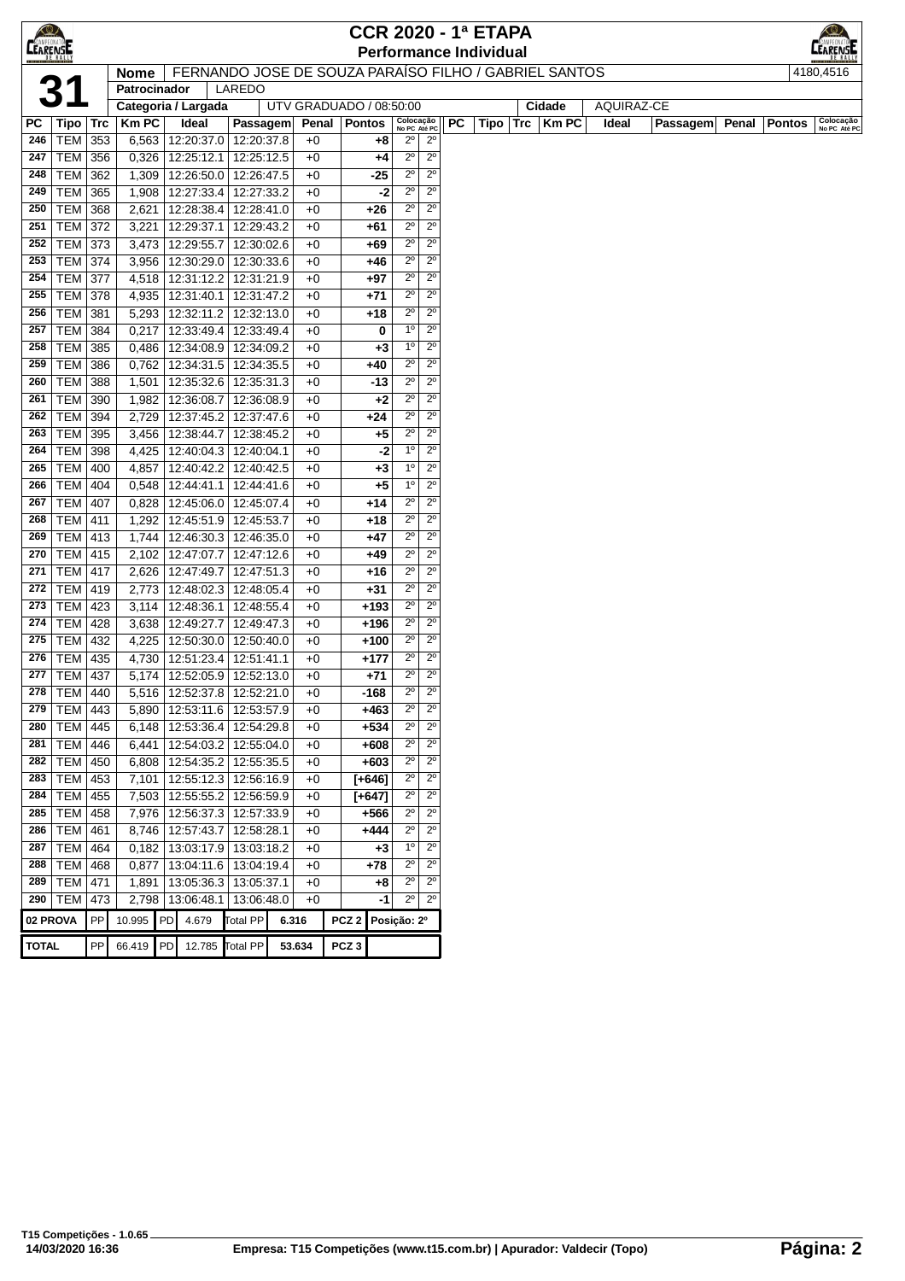| $\bigcirc$      |                        |            |                     |                                                            |                          |                         |       | <b>CCR 2020 - 1ª ETAPA</b> |                            |                            |           |                               |     |                                                       |            |          |       |               |                           |
|-----------------|------------------------|------------|---------------------|------------------------------------------------------------|--------------------------|-------------------------|-------|----------------------------|----------------------------|----------------------------|-----------|-------------------------------|-----|-------------------------------------------------------|------------|----------|-------|---------------|---------------------------|
| <b>CEARENSE</b> |                        |            |                     |                                                            |                          |                         |       |                            |                            |                            |           | <b>Performance Individual</b> |     |                                                       |            |          |       |               | EARENS <b>E</b>           |
|                 |                        |            | <b>Nome</b>         |                                                            |                          |                         |       |                            |                            |                            |           |                               |     | FERNANDO JOSE DE SOUZA PARAÍSO FILHO / GABRIEL SANTOS |            |          |       |               | 4180,4516                 |
|                 |                        |            | Patrocinador        |                                                            | LAREDO                   |                         |       |                            |                            |                            |           |                               |     |                                                       |            |          |       |               |                           |
|                 |                        |            | Categoria / Largada |                                                            |                          | UTV GRADUADO / 08:50:00 |       |                            |                            |                            |           |                               |     | Cidade                                                | AQUIRAZ-CE |          |       |               |                           |
| РC              | Tipo                   | Trc        | <b>Km PC</b>        | Ideal                                                      | Passagem                 |                         | Penal | Pontos                     |                            | Colocação<br>No PC Até PC  | <b>PC</b> | Tipo                          | Trc | <b>Km PC</b>                                          | Ideal      | Passagem | Penal | <b>Pontos</b> | Colocação<br>No PC Até PC |
| 246             | TEM                    | 353        | 6,563               | 12:20:37.0   12:20:37.8                                    |                          | $+0$                    |       | +8                         | $2^{\circ}$                | $2^{\circ}$                |           |                               |     |                                                       |            |          |       |               |                           |
| 247             | <b>TEM</b>             | 356        | 0,326               | 12:25:12.1                                                 | 12:25:12.5               | $+0$                    |       | +4                         | $2^{\circ}$                | $2^{\circ}$                |           |                               |     |                                                       |            |          |       |               |                           |
| 248             | <b>TEM</b>             | 362        | 1,309               | 12:26:50.0                                                 | 12:26:47.5               | $+0$                    |       | -25                        | $2^{\circ}$                | $2^{\circ}$                |           |                               |     |                                                       |            |          |       |               |                           |
| 249             | <b>TEM</b>             | 365        | 1,908               | 12:27:33.4                                                 | 12:27:33.2               | $+0$                    |       | -2                         | $2^{\circ}$                | $2^{\circ}$                |           |                               |     |                                                       |            |          |       |               |                           |
| 250             | <b>TEM</b>             | 368        | 2,621               | 12:28:38.4                                                 | 12:28:41.0               | $+0$                    |       | +26                        | $2^{\circ}$                | $2^{\circ}$                |           |                               |     |                                                       |            |          |       |               |                           |
| 251             | TEM                    | 372        | 3,221               | 12:29:37.1                                                 | 12:29:43.2               | $+0$                    |       | $+61$                      | $2^{\circ}$                | $2^{\circ}$                |           |                               |     |                                                       |            |          |       |               |                           |
| 252             | TEM                    | 373        | 3,473               | 12:29:55.7                                                 | 12:30:02.6               | $+0$                    |       | $+69$                      | $2^{\circ}$                | $2^{\circ}$                |           |                               |     |                                                       |            |          |       |               |                           |
| 253             | <b>TEM 374</b>         |            | 3,956               | 12:30:29.0                                                 | 12:30:33.6               | $+0$                    |       | +46                        | $2^{\circ}$<br>$2^{\circ}$ | $2^{\circ}$<br>$2^{\circ}$ |           |                               |     |                                                       |            |          |       |               |                           |
| 254<br>255      | TEM                    | 377        | 4,518               | 12:31:12.2                                                 | 12:31:21.9               | $+0$                    |       | $+97$                      | $2^{\circ}$                | $2^{\circ}$                |           |                               |     |                                                       |            |          |       |               |                           |
| 256             | TEM  <br><b>TEM</b>    | 378<br>381 | 4,935<br>5,293      | 12:31:40.1<br>12:32:11.2                                   | 12:31:47.2<br>12:32:13.0 | $+0$<br>$+0$            |       | $+71$<br>$+18$             | $2^{\circ}$                | $2^{\circ}$                |           |                               |     |                                                       |            |          |       |               |                           |
| 257             | <b>TEM</b>             | 384        | 0,217               | 12:33:49.4                                                 | 12:33:49.4               | $+0$                    |       | 0                          | $1^{\circ}$                | $2^{\circ}$                |           |                               |     |                                                       |            |          |       |               |                           |
| 258             | <b>TEM</b>             | 385        | 0,486               | 12:34:08.9                                                 | 12:34:09.2               | +0                      |       | $+3$                       | 1 <sup>0</sup>             | $2^{\circ}$                |           |                               |     |                                                       |            |          |       |               |                           |
| 259             | TEM                    | 386        | 0,762               | 12:34:31.5                                                 | 12:34:35.5               | $+0$                    |       | +40                        | $2^{\circ}$                | $2^{\circ}$                |           |                               |     |                                                       |            |          |       |               |                           |
| 260             | TEM                    | 388        | 1,501               | 12:35:32.6                                                 | 12:35:31.3               | $+0$                    |       | $-13$                      | $2^{\circ}$                | $2^{\circ}$                |           |                               |     |                                                       |            |          |       |               |                           |
| 261             | <b>TEM</b>             | 390        | 1,982               | 12:36:08.7                                                 | 12:36:08.9               | $+0$                    |       | $+2$                       | $2^{\circ}$                | $2^{\circ}$                |           |                               |     |                                                       |            |          |       |               |                           |
| 262             | TEM                    | 394        | 2,729               | 12:37:45.2                                                 | 12:37:47.6               | $+0$                    |       | $+24$                      | $2^{\circ}$                | $2^{\circ}$                |           |                               |     |                                                       |            |          |       |               |                           |
| 263             | TEM                    | 395        | 3,456               | 12:38:44.7                                                 | 12:38:45.2               | $+0$                    |       | $+5$                       | $2^{\circ}$                | $2^{\circ}$                |           |                               |     |                                                       |            |          |       |               |                           |
| 264             | TEM                    | 398        | 4,425               | 12:40:04.3                                                 | 12:40:04.1               | $+0$                    |       | -2                         | $1^{\circ}$                | $2^{\circ}$                |           |                               |     |                                                       |            |          |       |               |                           |
| 265             | <b>TEM</b>             | 400        | 4,857               | 12:40:42.2                                                 | 12:40:42.5               | $+0$                    |       | $+3$                       | $1^{\circ}$                | $2^{\circ}$                |           |                               |     |                                                       |            |          |       |               |                           |
| 266             | <b>TEM</b>             | 404        | 0,548               | 12:44:41.1                                                 | 12:44:41.6               | $+0$                    |       | +5                         | $1^{\circ}$                | $2^{\circ}$                |           |                               |     |                                                       |            |          |       |               |                           |
| 267             | TEM                    | 407        | 0,828               | 12:45:06.0                                                 | 12:45:07.4               | $+0$                    |       | $+14$                      | $2^{\circ}$                | $2^{\circ}$                |           |                               |     |                                                       |            |          |       |               |                           |
| 268             | <b>TEM</b>             | 411        | 1,292               | 12:45:51.9                                                 | 12:45:53.7               | $+0$                    |       | +18                        | $2^{\circ}$                | $2^{\circ}$                |           |                               |     |                                                       |            |          |       |               |                           |
| 269             | TEM                    | 413        | 1,744               | 12:46:30.3 12:46:35.0                                      |                          | $+0$                    |       | $+47$                      | $2^{\circ}$                | $2^{\circ}$                |           |                               |     |                                                       |            |          |       |               |                           |
| 270             | TEM                    | 415        | 2,102               | 12:47:07.7   12:47:12.6                                    |                          | $+0$                    |       | $+49$                      | $2^{\circ}$                | $2^{\circ}$                |           |                               |     |                                                       |            |          |       |               |                           |
| 271             | TEM                    | 417        | 2,626               | 12:47:49.7                                                 | 12:47:51.3               | $+0$                    |       | +16                        | $2^{\circ}$                | $2^{\circ}$                |           |                               |     |                                                       |            |          |       |               |                           |
| 272             | TEM                    | 419        | 2,773               | 12:48:02.3                                                 | 12:48:05.4               | $+0$                    |       | $+31$                      | $2^{\circ}$                | $2^{\circ}$                |           |                               |     |                                                       |            |          |       |               |                           |
| 273             | TEM                    | 423        | 3,114               | 12:48:36.1                                                 | 12:48:55.4               | $+0$                    |       | $+193$                     | $2^{\circ}$                | $2^{\circ}$                |           |                               |     |                                                       |            |          |       |               |                           |
| 274             | <b>TEM</b>             | 428        | 3,638               | 12:49:27.7                                                 | 12:49:47.3               | $+0$                    |       | $+196$                     | $2^{\circ}$                | $2^{\circ}$                |           |                               |     |                                                       |            |          |       |               |                           |
| 275             | <b>TEM</b>             | 432        | 4,225               | 12:50:30.0                                                 | 12:50:40.0               | $+0$                    |       | +100                       | $2^{\circ}$                | $2^{\circ}$                |           |                               |     |                                                       |            |          |       |               |                           |
| 276             | <b>TEM</b>             | 435        | 4,730               | 12:51:23.4                                                 | 12:51:41.1               | $+0$                    |       | $+177$                     | $2^{\circ}$                | $2^{\circ}$                |           |                               |     |                                                       |            |          |       |               |                           |
| 277             | <b>TEM</b>             | 437        | 5,174               | 12:52:05.9 12:52:13.0                                      |                          | $+0$                    |       | $+71$                      | $2^{\circ}$<br>$2^{\circ}$ | $2^{\circ}$<br>$2^{\circ}$ |           |                               |     |                                                       |            |          |       |               |                           |
| 278             | <b>TEM 440</b>         |            | 5,516               | 12:52:37.8   12:52:21.0                                    |                          | $+0$                    |       | $-168$                     |                            | $2^{\circ}$                |           |                               |     |                                                       |            |          |       |               |                           |
| 280             | 279   TEM   443<br>TEM | 445        |                     | 5,890   12:53:11.6   12:53:57.9<br>12:53:36.4   12:54:29.8 |                          | $+0$<br>$+0$            |       | +463<br>$+534$             | $2^{\circ}$<br>$2^{\circ}$ | $2^{\circ}$                |           |                               |     |                                                       |            |          |       |               |                           |
|                 | 281   TEM $ $          | 446        | 6,148               | 6,441 12:54:03.2 12:55:04.0                                |                          | $+0$                    |       | +608                       | $2^{\circ}$                | $2^{\circ}$                |           |                               |     |                                                       |            |          |       |               |                           |
|                 | 282   TEM $ $          | 450        |                     | 6,808   12:54:35.2   12:55:35.5                            |                          | $+0$                    |       | $+603$                     | $2^{\circ}$                | $2^{\circ}$                |           |                               |     |                                                       |            |          |       |               |                           |
|                 | 283   TEM $ $          | 453        |                     | 7,101   12:55:12.3   12:56:16.9                            |                          | $+0$                    |       | [+646]                     | $2^{\circ}$                | $2^{\circ}$                |           |                               |     |                                                       |            |          |       |               |                           |
| 284             | <b>TEM</b>             | 455        |                     | 7,503   12:55:55.2   12:56:59.9                            |                          | $+0$                    |       | [+647]                     | $2^{\circ}$                | $2^{\circ}$                |           |                               |     |                                                       |            |          |       |               |                           |
| 285             | <b>TEM</b>             | 458        | 7,976               | 12:56:37.3 12:57:33.9                                      |                          | $+0$                    |       | +566                       | $2^{\circ}$                | $2^{\circ}$                |           |                               |     |                                                       |            |          |       |               |                           |
| 286             | <b>TEM</b>             | 461        |                     | 8,746   12:57:43.7   12:58:28.1                            |                          | $+0$                    |       | $+444$                     | $2^{\circ}$                | $2^{\circ}$                |           |                               |     |                                                       |            |          |       |               |                           |
| 287             | TEM                    | 464        |                     | 0,182   13:03:17.9   13:03:18.2                            |                          | $+0$                    |       | $+3$                       | 1 <sup>0</sup>             | $2^{\circ}$                |           |                               |     |                                                       |            |          |       |               |                           |
|                 | 288   TEM   468        |            | 0,877               | 13:04:11.6   13:04:19.4                                    |                          | $+0$                    |       | $+78$                      | $2^{\circ}$                | $2^{\circ}$                |           |                               |     |                                                       |            |          |       |               |                           |
|                 | 289   TEM              | 471        | 1,891               | 13:05:36.3                                                 | 13:05:37.1               | $+0$                    |       | $+8$                       | $2^{\circ}$                | $2^{\circ}$                |           |                               |     |                                                       |            |          |       |               |                           |
|                 | 290   TEM              | 473        | 2,798               | 13:06:48.1                                                 | 13:06:48.0               | $+0$                    |       | -1                         | $2^{\circ}$                | $2^{\circ}$                |           |                               |     |                                                       |            |          |       |               |                           |
| 02 PROVA        |                        | PP         | 10.995              | 4.679<br>PD.                                               | <b>Total PP</b>          | 6.316                   |       | PCZ <sub>2</sub>           | Posição: 2º                |                            |           |                               |     |                                                       |            |          |       |               |                           |
|                 |                        | PP         | 66.419              | PD                                                         |                          |                         |       | PCZ <sub>3</sub>           |                            |                            |           |                               |     |                                                       |            |          |       |               |                           |
| <b>TOTAL</b>    |                        |            |                     |                                                            | 12.785 Total PP          | 53.634                  |       |                            |                            |                            |           |                               |     |                                                       |            |          |       |               |                           |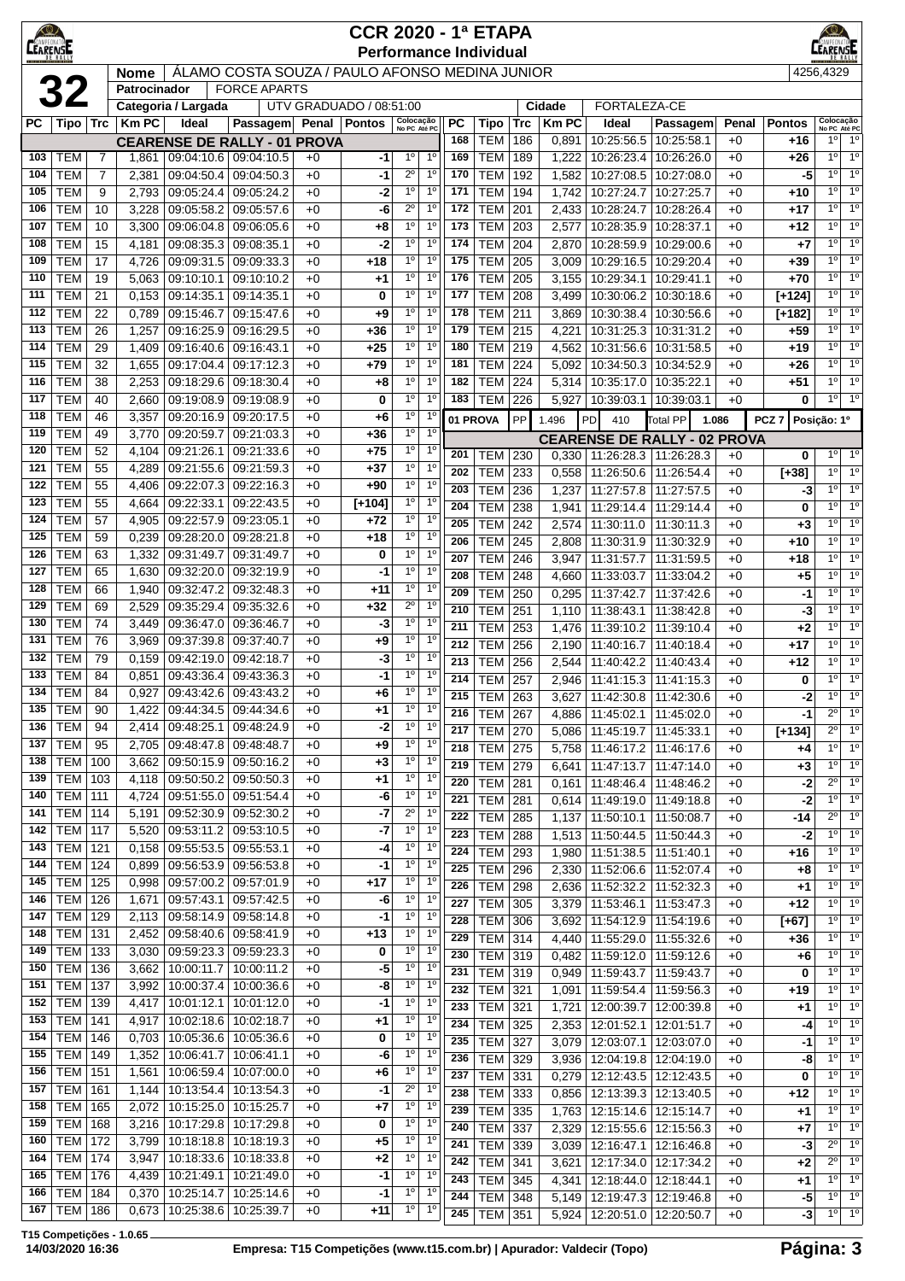| <b>CEARENS</b> |                                  |                |                |                          |                                                              |              | <b>CCR 2020 - 1ª ETAPA</b><br><b>Performance Individual</b> |                                                                   |            |                                   |            |                |                                            |                                                                    |              |                          |                                                                   |
|----------------|----------------------------------|----------------|----------------|--------------------------|--------------------------------------------------------------|--------------|-------------------------------------------------------------|-------------------------------------------------------------------|------------|-----------------------------------|------------|----------------|--------------------------------------------|--------------------------------------------------------------------|--------------|--------------------------|-------------------------------------------------------------------|
|                |                                  |                | <b>Nome</b>    |                          | ÁLAMO COSTA SOUZA / PAULO AFONSO MEDINA JUNIOR               |              |                                                             |                                                                   |            |                                   |            |                |                                            |                                                                    |              |                          | 4256,4329                                                         |
|                | <b>32</b>                        |                | Patrocinador   |                          | <b>FORCE APARTS</b>                                          |              |                                                             |                                                                   |            |                                   |            |                |                                            |                                                                    |              |                          |                                                                   |
|                |                                  |                |                | Categoria / Largada      |                                                              |              | UTV GRADUADO / 08:51:00                                     |                                                                   |            |                                   | Cidade     |                | FORTALEZA-CE                               |                                                                    |              |                          |                                                                   |
| РC             | Tipo   Trc                       |                | <b>Km PC</b>   | Ideal                    | Passagem Penal Pontos                                        |              |                                                             | Colocação<br>No PC Até PC                                         | PC<br>168  | Tipo<br><b>TEM</b>                | Trc        | <b>KmPC</b>    | Ideal<br>10:25:56.5                        | Passagem<br>10:25:58.1                                             | Penal        | <b>Pontos</b>            | Colocação<br>No PC Até PC<br>$1^{\circ}$<br>$1^{\circ}$           |
| 103            | <b>TEM</b>                       | 7              | 1,861          |                          | <b>CEARENSE DE RALLY - 01 PROVA</b><br>09:04:10.6 09:04:10.5 | $+0$         | -1                                                          | 1 <sup>0</sup><br>1 <sup>0</sup>                                  | 169        | <b>TEM</b>                        | 186<br>189 | 0,891<br>1,222 | 10:26:23.4                                 | 10:26:26.0                                                         | $+0$<br>$+0$ | +16<br>$+26$             | 1 <sup>0</sup><br>$1^{\circ}$                                     |
| 104            | <b>TEM</b>                       | $\overline{7}$ | 2,381          | 09:04:50.4               | 09:04:50.3                                                   | $+0$         | -1                                                          | $2^{\circ}$<br>1 <sup>0</sup>                                     | 170        | <b>TEM</b>                        | 192        | 1,582          | 10:27:08.5                                 | 10:27:08.0                                                         | $+0$         | -5                       | $1^{\circ}$<br>1 <sup>0</sup>                                     |
| 105            | <b>TEM</b>                       | 9              | 2,793          | 09:05:24.4               | 09:05:24.2                                                   | $+0$         | $-2$                                                        | $1^{\circ}$<br>1 <sup>0</sup>                                     | 171        | <b>TEM</b>                        | 194        | 1,742          | 10:27:24.7                                 | 10:27:25.7                                                         | $+0$         | $+10$                    | 1 <sup>0</sup><br>$1^{\circ}$                                     |
| 106            | <b>TEM</b>                       | 10             | 3,228          | 09:05:58.2               | 09:05:57.6                                                   | $+0$         | -6                                                          | $2^{\circ}$<br>$1^{\circ}$                                        | 172        | <b>TEM</b>                        | 201        | 2,433          | 10:28:24.7                                 | 10:28:26.4                                                         | $+0$         | $+17$                    | 1 <sup>0</sup><br>$1^{\circ}$                                     |
| 107            | <b>TEM</b>                       | 10             | 3,300          | 09:06:04.8               | 09:06:05.6                                                   | $+0$         | +8                                                          | 1 <sup>0</sup><br>$1^{\circ}$                                     | 173        | <b>TEM</b>                        | 203        | 2,577          | 10:28:35.9                                 | 10:28:37.1                                                         | $+0$         | +12                      | 1 <sup>0</sup><br>1 <sup>0</sup>                                  |
| 108<br>109     | <b>TEM</b><br><b>TEM</b>         | 15<br>17       | 4,181          | 09:08:35.3               | 09:08:35.1                                                   | $+0$<br>$+0$ | -2                                                          | $1^{\circ}$<br>1 <sup>0</sup><br>1 <sup>0</sup><br>1 <sup>0</sup> | 174<br>175 | <b>TEM</b><br><b>TEM</b>          | 204<br>205 | 2,870          | 10:28:59.9<br>10:29:16.5                   | 10:29:00.6                                                         | $+0$<br>$+0$ | $+7$<br>$+39$            | 1 <sup>0</sup><br>1 <sup>0</sup><br>$1^{\circ}$<br>$1^{\circ}$    |
| 110            | <b>TEM</b>                       | 19             | 4,726<br>5,063 | 09:09:31.5<br>09:10:10.1 | 09:09:33.3<br>09:10:10.2                                     | $+0$         | $+18$<br>$^{+1}$                                            | 1 <sup>0</sup><br>$1^{\circ}$                                     | 176        | <b>TEM</b>                        | 205        | 3,009<br>3,155 | 10:29:34.1                                 | 10:29:20.4<br>10:29:41.1                                           | $+0$         | $+70$                    | $1^{\circ}$<br>1 <sup>0</sup>                                     |
| 111            | <b>TEM</b>                       | 21             | 0,153          | 09:14:35.1               | 09:14:35.1                                                   | $+0$         | 0                                                           | $1^{\circ}$<br>$1^{\circ}$                                        | 177        | <b>TEM</b>                        | 208        | 3,499          | 10:30:06.2                                 | 10:30:18.6                                                         | $+0$         | $[+124]$                 | 1 <sup>0</sup><br>$1^{\circ}$                                     |
| 112            | <b>TEM</b>                       | 22             | 0,789          | 09:15:46.7               | 09:15:47.6                                                   | $+0$         | +9                                                          | 1 <sup>0</sup><br>1 <sup>0</sup>                                  | 178        | <b>TEM</b>                        | 211        | 3,869          | 10:30:38.4                                 | 10:30:56.6                                                         | $+0$         | [+182]                   | 1 <sup>0</sup><br>1 <sup>0</sup>                                  |
| 113            | <b>TEM</b>                       | 26             | 1,257          | 09:16:25.9               | 09:16:29.5                                                   | $+0$         | +36                                                         | 1 <sup>0</sup><br>$1^{\circ}$                                     | 179        | <b>TEM</b>                        | 215        | 4,221          | 10:31:25.3                                 | 10:31:31.2                                                         | $+0$         | $+59$                    | 1 <sup>0</sup><br>$1^{\circ}$                                     |
| 114            | <b>TEM</b>                       | 29             | 1,409          | 09:16:40.6               | 09:16:43.1                                                   | $+0$         | $+25$                                                       | 1 <sup>0</sup><br>1 <sup>0</sup>                                  | 180        | <b>TEM</b>                        | 219        | 4,562          | 10:31:56.6                                 | 10:31:58.5                                                         | $+0$         | $+19$                    | $1^{\circ}$<br>1 <sup>0</sup>                                     |
| 115            | <b>TEM</b>                       | 32             | 1,655          | 09:17:04.4               | 09:17:12.3                                                   | $+0$         | $+79$                                                       | $1^{\circ}$<br>$1^{\circ}$<br>1 <sup>0</sup><br>$1^{\circ}$       | 181        | <b>TEM</b>                        | 224        | 5,092          | 10:34:50.3                                 | 10:34:52.9                                                         | $+0$         | $+26$                    | 1 <sup>0</sup><br>1 <sup>0</sup><br>$1^{\circ}$<br>$1^{\circ}$    |
| 116<br>117     | <b>TEM</b><br><b>TEM</b>         | 38<br>40       | 2,253<br>2,660 | 09:18:29.6<br>09:19:08.9 | 09:18:30.4<br>09:19:08.9                                     | $+0$<br>$+0$ | +8<br>0                                                     | 1 <sup>0</sup><br>$1^{\circ}$                                     | 182<br>183 | <b>TEM</b><br><b>TEM</b>          | 224<br>226 | 5,314<br>5,927 | 10:35:17.0<br>10:39:03.1                   | 10:35:22.1<br>10:39:03.1                                           | $+0$<br>$+0$ | $+51$<br>0               | $1^{\circ}$<br>1 <sup>0</sup>                                     |
| 118            | <b>TEM</b>                       | 46             | 3,357          | 09:20:16.9               | 09:20:17.5                                                   | $+0$         | +6                                                          | 1 <sup>0</sup><br>1 <sup>0</sup>                                  |            | 01 PROVA                          | PP         | 1.496          | <b>PD</b><br>410                           | <b>Total PP</b>                                                    | 1.086        | PCZ <sub>7</sub>         | Posição: 1º                                                       |
| 119            | <b>TEM</b>                       | 49             | 3,770          | 09:20:59.7               | 09:21:03.3                                                   | $+0$         | $+36$                                                       | 1 <sup>0</sup><br>1 <sup>°</sup>                                  |            |                                   |            |                |                                            | <b>CEARENSE DE RALLY - 02 PROVA</b>                                |              |                          |                                                                   |
| 120            | <b>TEM</b>                       | 52             | 4,104          | 09:21:26.1               | 09:21:33.6                                                   | $+0$         | $+75$                                                       | 1 <sup>0</sup><br>1 <sup>0</sup>                                  | 201        | TEM                               | 230        | 0,330          | 11:26:28.3                                 | 11:26:28.3                                                         | $+0$         | 0                        | $1^{\circ}$<br>$1^{\circ}$                                        |
| 121            | <b>TEM</b>                       | 55             | 4,289          | 09:21:55.6               | 09:21:59.3                                                   | $+0$         | $+37$                                                       | 1 <sup>0</sup><br>1 <sup>0</sup>                                  | 202        | <b>TEM</b>                        | 233        | 0,558          | 11:26:50.6                                 | 11:26:54.4                                                         | $+0$         | [+38]                    | 1 <sup>0</sup><br>$1^{\circ}$                                     |
| 122            | <b>TEM</b>                       | 55             | 4,406          | 09:22:07.3               | 09:22:16.3                                                   | $+0$         | +90                                                         | 1 <sup>0</sup><br>1 <sup>0</sup>                                  | 203        | <b>TEM</b>                        | 236        | 1,237          | 11:27:57.8                                 | 11:27:57.5                                                         | $+0$         | -3                       | $\overline{1^0}$<br>$1^{\circ}$                                   |
| 123<br>124     | <b>TEM</b><br><b>TEM</b>         | 55<br>57       | 4,664          | 09:22:33.1<br>09:22:57.9 | 09:22:43.5<br>09:23:05.1                                     | $+0$<br>$+0$ | $[+104]$<br>$+72$                                           | 1 <sup>o</sup><br>1 <sup>0</sup><br>$1^{\circ}$<br>$1^{\circ}$    | 204        | <b>TEM</b>                        | 238        | 1,941          | 11:29:14.4                                 | 11:29:14.4                                                         | $+0$         | $\mathbf 0$              | $1^{\circ}$<br>1 <sup>0</sup>                                     |
| 125            | <b>TEM</b>                       | 59             | 4,905<br>0,239 | 09:28:20.0               | 09:28:21.8                                                   | $+0$         | $+18$                                                       | $1^{\circ}$<br>$1^{\circ}$                                        | 205        | <b>TEM</b>                        | 242        | 2,574          | 11:30:11.0                                 | 11:30:11.3                                                         | $+0$         | $+3$                     | $1^{\circ}$<br>1 <sup>0</sup><br>1 <sup>0</sup><br>1 <sup>0</sup> |
| 126            | <b>TEM</b>                       | 63             | 1,332          | 09:31:49.7               | 09:31:49.7                                                   | $+0$         | 0                                                           | $1^{\circ}$<br>$1^{\circ}$                                        | 206<br>207 | <b>TEM</b><br><b>TEM</b>          | 245<br>246 | 2,808<br>3,947 | 11:30:31.9<br>11:31:57.7                   | 11:30:32.9<br>11:31:59.5                                           | $+0$<br>$+0$ | $+10$<br>$+18$           | $1^{\circ}$<br>1 <sup>0</sup>                                     |
| 127            | <b>TEM</b>                       | 65             | 1,630          | 09:32:20.0               | 09:32:19.9                                                   | $+0$         | -1                                                          | 1 <sup>0</sup><br>1 <sup>0</sup>                                  | 208        | <b>TEM</b>                        | 248        | 4,660          | 11:33:03.7                                 | 11:33:04.2                                                         | $+0$         | $+5$                     | 1 <sup>0</sup><br>1 <sup>0</sup>                                  |
| 128            | <b>TEM</b>                       | 66             | 1,940          | 09:32:47.2               | 09:32:48.3                                                   | $+0$         | $+11$                                                       | 1 <sup>0</sup><br>1 <sup>0</sup>                                  | 209        | <b>TEM</b>                        | 250        | 0,295          | 11:37:42.7                                 | 11:37:42.6                                                         | $+0$         | $-1$                     | $1^{\circ}$<br>1 <sup>0</sup>                                     |
| 129            | <b>TEM</b>                       | 69             | 2,529          | 09:35:29.4               | 09:35:32.6                                                   | $+0$         | $+32$                                                       | $2^{\circ}$<br>1 <sup>0</sup>                                     | 210        | <b>TEM</b>                        | 251        | 1,110          | 11:38:43.1                                 | 11:38:42.8                                                         | $+0$         | -3                       | $\overline{1^0}$<br>$1^{\circ}$                                   |
| 130            | <b>TEM</b>                       | 74             | 3,449          | 09:36:47.0               | 09:36:46.7                                                   | $+0$         | -3                                                          | 1 <sup>0</sup><br>1 <sup>0</sup><br>1 <sup>0</sup>                | 211        | <b>TEM</b>                        | 253        | 1,476          | 11:39:10.2                                 | 11:39:10.4                                                         | $+0$         | $+2$                     | 1 <sup>0</sup><br>1 <sup>0</sup>                                  |
| 131<br>132     | <b>TEM</b><br><b>TEM</b>         | 76<br>79       | 3,969<br>0,159 | 09:37:39.8<br>09:42:19.0 | 09:37:40.7<br>09:42:18.7                                     | $+0$<br>$+0$ | +9<br>-3                                                    | 1 <sup>0</sup><br>1 <sup>0</sup><br>1 <sup>0</sup>                | 212        | <b>TEM</b>                        | 256        | 2,190          | 11:40:16.7                                 | 11:40:18.4                                                         | $+0$         | $+17$                    | $1^{\circ}$<br>1 <sup>0</sup>                                     |
| 133            | <b>TEM</b>                       | 84             | 0,851          | 09:43:36.4               | 09:43:36.3                                                   | $+0$         | -1                                                          | $1^{\circ}$<br>$1^{\circ}$                                        | 213<br>214 | <b>TEM</b><br><b>TEM</b>          | 256<br>257 | 2,544          | 11:40:42.2<br>11:41:15.3                   | 11:40:43.4                                                         | $+0$         | $+12$                    | $1^{\circ}$<br>$1^{\circ}$<br>1 <sup>0</sup><br>$1^{\circ}$       |
| 134            | <b>TEM</b>                       | 84             | 0,927          | 09:43:42.6               | 09:43:43.2                                                   | $+0$         | +6                                                          | $1^{\circ}$<br>$1^{\circ}$                                        | 215        | <b>TEM</b>                        | 263        | 2,946<br>3,627 | 11:42:30.8                                 | 11:41:15.3<br>11:42:30.6                                           | $+0$<br>$+0$ | 0<br>-2                  | $1^{\circ}$<br>1 <sup>0</sup>                                     |
| 135            | TEM                              | 90             |                |                          | 1,422   09:44:34.5   09:44:34.6                              | +0           | +1                                                          | $1^{\circ}$<br>1 <sup>c</sup>                                     | 216        | <b>TEM   267</b>                  |            |                | 4,886   11:45:02.1   11:45:02.0            |                                                                    | $+0$         | $-1$                     | $2^{\circ}$<br>$1^{\circ}$                                        |
| 136            | <b>TEM</b>                       | 94             |                | 2,414 09:48:25.1         | 09:48:24.9                                                   | $+0$         | $-2$                                                        | 1 <sup>o</sup><br>1 <sup>0</sup>                                  | 217        | <b>TEM</b>                        | 270        | 5.086          | 11:45:19.7                                 | 11:45:33.1                                                         | $+0$         | $[+134]$                 | 1 <sup>0</sup><br>$2^{\circ}$                                     |
| 137            | TEM                              | 95             | 2,705          | $09:48:47.8$ 09:48:48.7  |                                                              | $+0$         | +9                                                          | $1^{\circ}$<br>$1^{\circ}$                                        | 218        | <b>TEM 275</b>                    |            | 5,758          |                                            | 11:46:17.2   11:46:17.6                                            | $+0$         | +4                       | 1 <sup>o</sup><br>$1^{\circ}$                                     |
| 138<br>139     | <b>TEM 100</b><br><b>TEM 103</b> |                | 4,118          | 09:50:50.2               | 3,662   09:50:15.9   09:50:16.2<br>09:50:50.3                | $+0$<br>$+0$ | +3<br>+1                                                    | $1^{\circ}$<br>1 <sup>0</sup><br>1 <sup>0</sup><br>$1^{\circ}$    | 219        | <b>TEM</b>                        | 279        | 6,641          | 11:47:13.7                                 | 11:47:14.0                                                         | $+0$         | $+3$                     | $\overline{1^{\circ}}$<br>$1^{\circ}$                             |
| 140            | <b>TEM</b> 111                   |                | 4,724          | 09:51:55.0               | 09:51:54.4                                                   | $+0$         | -6                                                          | 1 <sup>0</sup><br>1 <sup>0</sup>                                  | 220        | <b>TEM</b>                        | 281        | 0,161          | 11:48:46.4                                 | 11:48:46.2                                                         | $+0$         | -2                       | $2^{\circ}$<br>1 <sup>0</sup><br>10<br>$1^{\circ}$                |
| 141            | <b>TEM 114</b>                   |                | 5,191          | 09:52:30.9               | 09:52:30.2                                                   | $+0$         | $-7$                                                        | $2^{\circ}$<br>1 <sup>0</sup>                                     | 221<br>222 | <b>TEM</b><br><b>TEM 285</b>      | 281        |                | 0,614   11:49:19.0<br>$1,137$   11:50:10.1 | 11:49:18.8<br>11:50:08.7                                           | $+0$<br>$+0$ | $-2$<br>-14              | $2^{\circ}$<br>$1^{\circ}$                                        |
| 142            | $TEM$ 117                        |                | 5,520          | 09:53:11.2               | 09:53:10.5                                                   | $+0$         | $-7$                                                        | 1 <sup>o</sup><br>1 <sup>0</sup>                                  | 223        | <b>TEM 288</b>                    |            |                | $1,513$   11:50:44.5   11:50:44.3          |                                                                    | $+0$         | -2                       | 10<br>1 <sup>0</sup>                                              |
| 143            | <b>TEM 121</b>                   |                | 0,158          | 09:55:53.5               | 09:55:53.1                                                   | $+0$         | -4                                                          | 1 <sup>0</sup><br>1 <sup>0</sup>                                  | 224        | TEM                               | 293        | 1,980          | 11:51:38.5                                 | 11:51:40.1                                                         | $+0$         | $+16$                    | $1^{\circ}$<br>1 <sup>0</sup>                                     |
| 144            | <b>TEM   124</b>                 |                | 0,899          | 09:56:53.9               | 09:56:53.8                                                   | $+0$         | -1                                                          | $1^{\circ}$<br>1 <sup>0</sup>                                     | 225        | <b>TEM</b>                        | 296        | 2,330          | 11:52:06.6                                 | 11:52:07.4                                                         | $+0$         | +8                       | 1 <sup>0</sup><br>$1^{\circ}$                                     |
| 145            | <b>TEM 125</b>                   |                | 0,998          | 09:57:00.2               | 09:57:01.9                                                   | $+0$         | $+17$                                                       | 1 <sup>0</sup><br>1 <sup>0</sup><br>$1^{\circ}$<br>$1^{\circ}$    | 226        | <b>TEM</b>                        | 298        | 2,636          | 11:52:32.2                                 | 11:52:32.3                                                         | $+0$         | $+1$                     | 1 <sup>0</sup><br>$1^{\circ}$                                     |
| 146<br>147     | <b>TEM 126</b><br><b>TEM 129</b> |                | 1,671          |                          | 09:57:43.1 09:57:42.5<br>2,113 09:58:14.9 09:58:14.8         | $+0$<br>$+0$ | -6<br>$-1$                                                  | $1^{\circ}$<br>$1^{\circ}$                                        | 227        | <b>TEM</b>                        | 305        | 3,379          | 11:53:46.1                                 | 11:53:47.3                                                         | $+0$         | $+12$                    | $1^{\circ}$<br>$1^{\circ}$                                        |
| 148            | <b>TEM</b> 131                   |                |                | 2,452 09:58:40.6         | 09:58:41.9                                                   | $+0$         | +13                                                         | $1^{\circ}$<br>1 <sup>0</sup>                                     | 228<br>229 | <b>TEM</b><br><b>TEM</b>          | 306<br>314 | 3,692          | 11:54:12.9<br>11:55:29.0                   | 11:54:19.6                                                         | $+0$<br>$+0$ | $[+67]$                  | 1 <sup>0</sup><br>$1^{\circ}$<br>1 <sup>0</sup><br>$1^{\circ}$    |
| 149            | $TEM$ 133                        |                | 3,030          | 09:59:23.3               | 09:59:23.3                                                   | $+0$         | 0                                                           | 1 <sup>0</sup><br>1 <sup>0</sup>                                  | 230        | TEM                               | 319        | 4,440<br>0,482 | 11:59:12.0                                 | 11:55:32.6<br>11:59:12.6                                           | $+0$         | +36<br>+6                | $1^{\circ}$<br>1 <sup>0</sup>                                     |
| 150            | <b>TEM 136</b>                   |                | 3,662          | 10:00:11.7               | 10:00:11.2                                                   | $+0$         | -5                                                          | 1 <sup>o</sup><br>$1^{\circ}$                                     | 231        | <b>TEM</b>                        | 319        |                | 0,949   11:59:43.7                         | 11:59:43.7                                                         | $+0$         | 0                        | $\overline{1^{\circ}}$<br>$1^{\circ}$                             |
| 151            | <b>TEM 137</b>                   |                | 3,992          | 10:00:37.4               | 10:00:36.6                                                   | $+0$         | -8                                                          | 1 <sup>o</sup><br>1 <sup>0</sup>                                  | 232        | <b>TEM 321</b>                    |            | 1,091          |                                            | 11:59:54.4 11:59:56.3                                              | $+0$         | $+19$                    | $1^{\circ}$<br>$1^{\circ}$                                        |
| 152            | <b>TEM 139</b>                   |                | 4,417          | 10:01:12.1               | 10:01:12.0                                                   | $+0$         | -1                                                          | $1^{\circ}$<br>1 <sup>0</sup>                                     | 233        | <b>TEM 321</b>                    |            | 1,721          |                                            | 12:00:39.7   12:00:39.8                                            | $+0$         | $+1$                     | $1^{\circ}$<br>1 <sup>0</sup>                                     |
| 153<br>154     | <b>TEM</b> 141<br><b>TEM 146</b> |                | 4,917<br>0,703 | 10:02:18.6<br>10:05:36.6 | 10:02:18.7<br>10:05:36.6                                     | $+0$<br>$+0$ | +1<br>0                                                     | $1^{\circ}$<br>1 <sup>0</sup><br>1 <sup>o</sup><br>$1^{\circ}$    | 234        | <b>TEM</b>                        | 325        | 2,353          | 12:01:52.1                                 | 12:01:51.7                                                         | $+0$         | -4                       | 1 <sup>0</sup><br>$1^{\circ}$                                     |
| 155            | <b>TEM 149</b>                   |                | 1,352          | 10:06:41.7               | 10:06:41.1                                                   | $+0$         | -6                                                          | 1 <sup>o</sup><br>$1^{\circ}$                                     | 235        | <b>TEM</b>                        | 327        | 3,079          | 12:03:07.1                                 | 12:03:07.0                                                         | $+0$         | -1                       | $\overline{1^0}$<br>$1^{\circ}$<br>1 <sup>°</sup>                 |
| 156            | <b>TEM 151</b>                   |                | 1,561          | 10:06:59.4               | 10:07:00.0                                                   | $+0$         | +6                                                          | $1^{\circ}$<br>1 <sup>0</sup>                                     | 236<br>237 | <b>TEM</b><br><b>TEM</b>          | 329<br>331 | 3,936<br>0,279 |                                            | 12:04:19.8   12:04:19.0<br>12:12:43.5   12:12:43.5                 | $+0$<br>$+0$ | -8<br>0                  | $1^{\circ}$<br>$1^{\circ}$<br>$1^{\circ}$                         |
| 157            | <b>TEM 161</b>                   |                | 1,144          | 10:13:54.4               | 10:13:54.3                                                   | $+0$         | -1                                                          | $2^{\circ}$<br>1 <sup>0</sup>                                     | 238        | <b>TEM</b>                        | 333        | 0,856          |                                            | 12:13:39.3 12:13:40.5                                              | $+0$         | +12                      | $1^{\circ}$<br>1 <sup>0</sup>                                     |
| 158            | $TEM$ 165                        |                | 2,072          | 10:15:25.0               | 10:15:25.7                                                   | $+0$         | +7                                                          | 1 <sup>0</sup><br>1 <sup>0</sup>                                  | 239        | <b>TEM</b>                        | 335        | 1,763          |                                            | 12:15:14.6   12:15:14.7                                            | $+0$         | $+1$                     | 1 <sup>0</sup><br>$1^{\circ}$                                     |
| 159            | <b>TEM 168</b>                   |                | 3,216          | 10:17:29.8               | 10:17:29.8                                                   | $+0$         | 0                                                           | 1 <sup>o</sup><br>1 <sup>0</sup>                                  | 240        | <b>TEM</b>                        | 337        | 2,329          |                                            | 12:15:55.6   12:15:56.3                                            | $+0$         | $+7$                     | $1^{\circ}$<br>1 <sup>0</sup>                                     |
| 160            | <b>TEM 172</b>                   |                | 3,799          | 10:18:18.8               | 10:18:19.3                                                   | $+0$         | +5                                                          | 1 <sup>0</sup><br>1 <sup>0</sup>                                  | 241        | TEM 339                           |            | 3,039          |                                            | 12:16:47.1   12:16:46.8                                            | $+0$         | -3                       | $2^{\circ}$<br>1 <sup>0</sup>                                     |
| 164            | <b>TEM 174</b>                   |                | 3,947          | 10:18:33.6               | 10:18:33.8                                                   | $+0$         | $+2$                                                        | $1^{\circ}$<br>1 <sup>0</sup><br>$1^{\circ}$<br>$1^{\circ}$       | 242        | TEM                               | 341        | 3,621          |                                            | 12:17:34.0   12:17:34.2                                            | $+0$         | $+2$                     | 1 <sup>0</sup><br>$2^{\circ}$                                     |
| 165<br>166     | <b>TEM 176</b><br><b>TEM 184</b> |                | 4,439<br>0,370 | 10:21:49.1<br>10:25:14.7 | 10:21:49.0<br>10:25:14.6                                     | $+0$<br>$+0$ | -1<br>-1                                                    | $1^{\circ}$<br>1 <sup>0</sup>                                     | 243        | <b>TEM</b>                        | 345        | 4,341          | 12:18:44.0                                 | 12:18:44.1                                                         | $+0$         | +1                       | 1 <sup>0</sup><br>$1^{\circ}$<br>$\overline{1^0}$                 |
| 167            | <b>TEM 186</b>                   |                | 0,673          | 10:25:38.6               | 10:25:39.7                                                   | $+0$         | +11                                                         | 1 <sup>0</sup><br>1 <sup>0</sup>                                  | 244        | <b>TEM 348</b><br>245   TEM   351 |            |                |                                            | 5,149   12:19:47.3   12:19:46.8<br>5,924   12:20:51.0   12:20:50.7 | $+0$<br>$+0$ | -5<br>$\lceil -3 \rceil$ | $1^{\circ}$<br>$1^\circ$<br>1 <sup>0</sup>                        |
|                |                                  |                |                |                          |                                                              |              |                                                             |                                                                   |            |                                   |            |                |                                            |                                                                    |              |                          |                                                                   |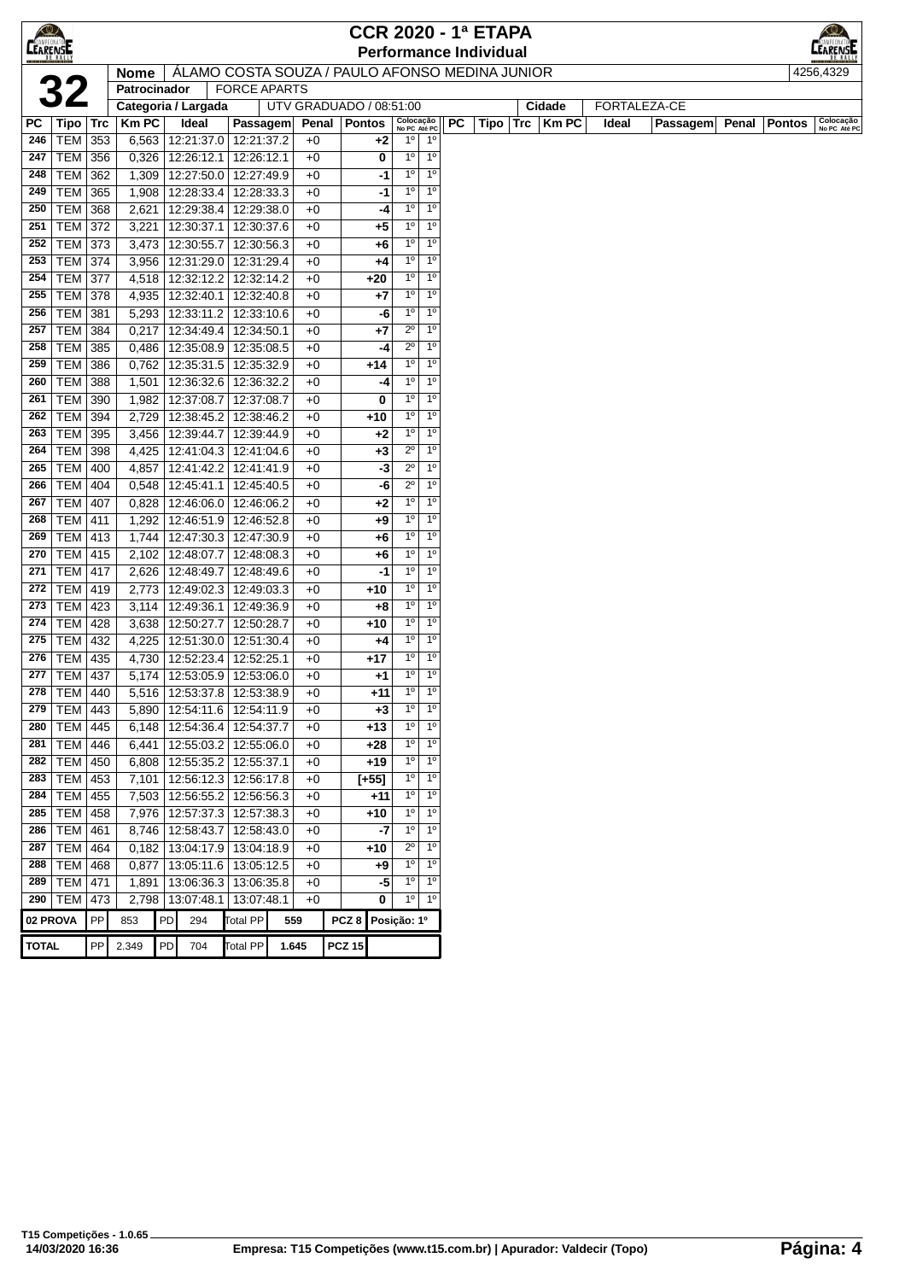|              |                                                                                                    |            |                |    |                          |                          |            |                         |                  |             |                               |                               |           | <b>CCR 2020 - 1ª ETAPA</b> |              |       |              |       |        |                           |
|--------------|----------------------------------------------------------------------------------------------------|------------|----------------|----|--------------------------|--------------------------|------------|-------------------------|------------------|-------------|-------------------------------|-------------------------------|-----------|----------------------------|--------------|-------|--------------|-------|--------|---------------------------|
|              | <b>CEARENSE</b><br><b>Performance Individual</b><br>ALAMO COSTA SOUZA / PAULO AFONSO MEDINA JUNIOR |            |                |    |                          |                          |            |                         |                  |             |                               |                               |           |                            |              |       |              |       |        |                           |
|              |                                                                                                    |            | <b>Nome</b>    |    |                          |                          |            |                         |                  |             |                               |                               |           |                            |              |       |              |       |        | 4256,4329                 |
|              | 32                                                                                                 |            | Patrocinador   |    |                          | <b>FORCE APARTS</b>      |            |                         |                  |             |                               |                               |           |                            |              |       |              |       |        |                           |
|              |                                                                                                    |            |                |    | Categoria / Largada      |                          |            | UTV GRADUADO / 08:51:00 |                  |             |                               |                               |           |                            | Cidade       |       | FORTALEZA-CE |       |        |                           |
| PC           | $ Tipo $ Trc                                                                                       |            | <b>KmPC</b>    |    | Ideal                    |                          | Passagem   | Penal                   | <b>Pontos</b>    |             | Colocação<br>No PC Até PC     |                               | <b>PC</b> | Tipo $ $ Trc $ $           | <b>Km PC</b> | Ideal | Passagem     | Penal | Pontos | Colocação<br>No PC Até PC |
| 246          | TEM                                                                                                | 353        | 6,563          |    | 12:21:37.0 12:21:37.2    |                          |            | $+0$                    |                  | +2          | $1^{\circ}$                   | 1°                            |           |                            |              |       |              |       |        |                           |
| 247          | <b>TEM</b>                                                                                         | 356        | 0,326          |    | 12:26:12.1               |                          | 12:26:12.1 | $+0$                    |                  | 0           | $1^{\circ}$                   | 1 <sup>0</sup>                |           |                            |              |       |              |       |        |                           |
| 248          | <b>TEM</b>                                                                                         | 362        | 1,309          |    | 12:27:50.0               | 12:27:49.9               |            | $+0$                    |                  | -1          | $1^{\circ}$                   | 1 <sup>0</sup>                |           |                            |              |       |              |       |        |                           |
| 249          | <b>TEM</b>                                                                                         | 365        | 1,908          |    | 12:28:33.4               | 12:28:33.3               |            | $+0$                    |                  | -1          | 1 <sup>0</sup>                | 1 <sup>0</sup>                |           |                            |              |       |              |       |        |                           |
| 250          | <b>TEM</b>                                                                                         | 368        | 2,621          |    | 12:29:38.4               | 12:29:38.0               |            | $+0$                    |                  | -4          | 1 <sup>0</sup>                | 1 <sup>0</sup>                |           |                            |              |       |              |       |        |                           |
| 251          | TEM                                                                                                | 372        | 3,221          |    | 12:30:37.1               | 12:30:37.6               |            | $+0$                    |                  | +5          | $1^{\circ}$                   | 1 <sup>0</sup>                |           |                            |              |       |              |       |        |                           |
| 252          | <b>TEM</b>                                                                                         | 373        | 3,473          |    | 12:30:55.7               | 12:30:56.3               |            | $+0$                    |                  | +6          | $1^{\circ}$                   | 1 <sup>0</sup>                |           |                            |              |       |              |       |        |                           |
| 253          | TEM                                                                                                | 374        | 3,956          |    | 12:31:29.0               | 12:31:29.4               |            | $+0$                    |                  | +4          | $1^{\circ}$                   | 1 <sup>0</sup>                |           |                            |              |       |              |       |        |                           |
| 254          | <b>TEM 377</b>                                                                                     |            | 4,518          |    | 12:32:12.2               | 12:32:14.2               |            | $+0$                    |                  | +20         | 1 <sup>0</sup>                | 1 <sup>0</sup>                |           |                            |              |       |              |       |        |                           |
| 255          | TEM                                                                                                | 378        | 4,935          |    | 12:32:40.1               | 12:32:40.8               |            | $+0$                    |                  | +7          | $1^{\circ}$                   | $1^{\circ}$                   |           |                            |              |       |              |       |        |                           |
| 256          | TEM                                                                                                | 381        | 5,293          |    | 12:33:11.2               | 12:33:10.6               |            | $+0$                    |                  | -6          | $1^{\circ}$<br>$2^{\circ}$    | $1^{\circ}$<br>1 <sup>0</sup> |           |                            |              |       |              |       |        |                           |
| 257          | <b>TEM</b>                                                                                         | 384        | 0,217          |    | 12:34:49.4               | 12:34:50.1               |            | $+0$                    |                  | +7          | $2^{\circ}$                   | 1 <sup>0</sup>                |           |                            |              |       |              |       |        |                           |
| 258<br>259   | TEM  <br><b>TEM</b>                                                                                | 385<br>386 | 0,486<br>0,762 |    | 12:35:08.9<br>12:35:31.5 | 12:35:08.5<br>12:35:32.9 |            | $+0$<br>$+0$            |                  | -4<br>+14   | 1 <sup>0</sup>                | 1 <sup>0</sup>                |           |                            |              |       |              |       |        |                           |
| 260          | <b>TEM</b>                                                                                         | 388        | 1,501          |    | 12:36:32.6               | 12:36:32.2               |            | $+0$                    |                  | -4          | $1^{\circ}$                   | $1^{\circ}$                   |           |                            |              |       |              |       |        |                           |
| 261          | <b>TEM</b>                                                                                         | 390        | 1,982          |    | 12:37:08.7               | 12:37:08.7               |            | $+0$                    |                  | 0           | 1 <sup>0</sup>                | 1 <sup>0</sup>                |           |                            |              |       |              |       |        |                           |
| 262          | <b>TEM</b>                                                                                         | 394        | 2,729          |    | 12:38:45.2               | 12:38:46.2               |            | $+0$                    |                  | +10         | $1^{\circ}$                   | 1 <sup>0</sup>                |           |                            |              |       |              |       |        |                           |
| 263          | TEM 395                                                                                            |            | 3,456          |    | 12:39:44.7               | 12:39:44.9               |            | $+0$                    |                  | +2          | $1^{\circ}$                   | 1 <sup>0</sup>                |           |                            |              |       |              |       |        |                           |
| 264          | TEM                                                                                                | 398        | 4,425          |    | 12:41:04.3               | 12:41:04.6               |            | $+0$                    |                  | $+3$        | $2^{\circ}$                   | $1^{\circ}$                   |           |                            |              |       |              |       |        |                           |
| 265          | TEM                                                                                                | 400        | 4,857          |    | 12:41:42.2               | 12:41:41.9               |            | $+0$                    |                  | -3          | $2^{\circ}$                   | 1 <sup>0</sup>                |           |                            |              |       |              |       |        |                           |
| 266          | <b>TEM</b>                                                                                         | 404        | 0,548          |    | 12:45:41.1               | 12:45:40.5               |            | $+0$                    |                  | -6          | $2^{\circ}$                   | 1 <sup>0</sup>                |           |                            |              |       |              |       |        |                           |
| 267          | TEM                                                                                                | 407        | 0,828          |    | 12:46:06.0               | 12:46:06.2               |            | $+0$                    |                  | +2          | 1 <sup>0</sup>                | 1 <sup>0</sup>                |           |                            |              |       |              |       |        |                           |
| 268          | TEM                                                                                                | 411        | 1,292          |    | 12:46:51.9               | 12:46:52.8               |            | $+0$                    |                  | +9          | 1 <sup>0</sup>                | 1 <sup>0</sup>                |           |                            |              |       |              |       |        |                           |
| 269          | <b>TEM</b>                                                                                         | 413        | 1,744          |    | 12:47:30.3               | 12:47:30.9               |            | $+0$                    |                  | +6          | $1^{\circ}$                   | 1 <sup>0</sup>                |           |                            |              |       |              |       |        |                           |
| 270          | <b>TEM</b>                                                                                         | 415        | 2,102          |    | 12:48:07.7               | 12:48:08.3               |            | $+0$                    |                  | +6          | $1^{\circ}$                   | 1 <sup>0</sup>                |           |                            |              |       |              |       |        |                           |
| 271          | <b>TEM</b>                                                                                         | 417        | 2,626          |    | 12:48:49.7               | 12:48:49.6               |            | $+0$                    |                  | -1          | $1^{\circ}$                   | 1 <sup>0</sup>                |           |                            |              |       |              |       |        |                           |
| 272          | TEM   419                                                                                          |            | 2,773          |    | 12:49:02.3 12:49:03.3    |                          |            | $+0$                    |                  | +10         | $1^{\circ}$                   | 1 <sup>0</sup>                |           |                            |              |       |              |       |        |                           |
| 273          | <b>TEM 423</b>                                                                                     |            | 3,114          |    | 12:49:36.1               | 12:49:36.9               |            | $+0$                    |                  | $+8$        | $1^{\circ}$                   | 1 <sup>0</sup>                |           |                            |              |       |              |       |        |                           |
| 274          | <b>TEM</b>                                                                                         | 428        | 3,638          |    | 12:50:27.7               | 12:50:28.7               |            | $+0$                    |                  | +10         | $1^{\circ}$                   | $1^{\circ}$                   |           |                            |              |       |              |       |        |                           |
| 275          | <b>TEM</b>                                                                                         | 432        | 4,225          |    | 12:51:30.0               | 12:51:30.4               |            | $+0$                    |                  | +4          | $1^{\circ}$                   | 1 <sup>0</sup>                |           |                            |              |       |              |       |        |                           |
| 276          | <b>TEM</b>                                                                                         | 435        | 4,730          |    | 12:52:23.4               | 12:52:25.1               |            | $+0$                    |                  | $+17$       | $1^{\circ}$                   | 1 <sup>0</sup>                |           |                            |              |       |              |       |        |                           |
| 277          | TEM                                                                                                | 437        | 5,174          |    | 12:53:05.9               | 12:53:06.0               |            | $+0$                    |                  | +1          | $1^{\circ}$                   | 1 <sup>0</sup>                |           |                            |              |       |              |       |        |                           |
| 278          | TEM                                                                                                | 440        | 5,516          |    | 12:53:37.8               | 12:53:38.9               |            | $+0$                    |                  | $+11$       | $1^{\circ}$                   | $1^{\circ}$                   |           |                            |              |       |              |       |        |                           |
|              | 279 TEM 443                                                                                        |            | 5,890          |    | 12:54:11.6               | 12:54:11.9               |            | $+0$                    |                  | $+3$        | $1^{\circ}$                   | 1º                            |           |                            |              |       |              |       |        |                           |
| 280          | TEM                                                                                                | 445        | 6,148          |    | 12:54:36.4               | 12:54:37.7               |            | $+0$                    |                  | $+13$       | 1 <sup>0</sup>                | 1 <sup>o</sup>                |           |                            |              |       |              |       |        |                           |
| 281          | <b>TEM 446</b>                                                                                     |            | 6,441          |    | 12:55:03.2               | 12:55:06.0               |            | $+0$                    |                  | +28         | 1 <sup>0</sup>                | $1^{\circ}$                   |           |                            |              |       |              |       |        |                           |
| 282          | TEM 450                                                                                            |            |                |    | 6,808   12:55:35.2       | 12:55:37.1               |            | $+0$                    |                  | $+19$       | $1^{\circ}$                   | 1 <sup>0</sup>                |           |                            |              |       |              |       |        |                           |
| 283          | TEM                                                                                                | 453        | 7,101          |    | 12:56:12.3               | 12:56:17.8               |            | $+0$                    |                  | $[+55]$     | $1^{\circ}$                   | $1^{\circ}$                   |           |                            |              |       |              |       |        |                           |
| 284          | <b>TEM</b>                                                                                         | 455        | 7,503          |    | 12:56:55.2               | 12:56:56.3               |            | $+0$                    |                  | $+11$       | $1^{\circ}$                   | 1 <sup>0</sup>                |           |                            |              |       |              |       |        |                           |
| 285          | <b>TEM</b>                                                                                         | 458        | 7,976          |    | 12:57:37.3               | 12:57:38.3<br>12:58:43.0 |            | $+0$                    |                  | $+10$       | 1 <sup>0</sup><br>$1^{\circ}$ | $1^{\circ}$<br>$1^{\circ}$    |           |                            |              |       |              |       |        |                           |
| 286<br>287   | TEM<br><b>TEM</b>                                                                                  | 461<br>464 | 8,746<br>0,182 |    | 12:58:43.7<br>13:04:17.9 | 13:04:18.9               |            | $+0$<br>$+0$            |                  | $-7$<br>+10 | $2^{\circ}$                   | $1^{\circ}$                   |           |                            |              |       |              |       |        |                           |
| 288          | <b>TEM</b>                                                                                         | 468        | 0,877          |    | 13:05:11.6               | 13:05:12.5               |            | $+0$                    |                  | +9          | $1^{\circ}$                   | 1 <sup>0</sup>                |           |                            |              |       |              |       |        |                           |
| 289          | <b>TEM</b>                                                                                         | 471        | 1,891          |    | 13:06:36.3               | 13:06:35.8               |            | $+0$                    |                  | -5          | $1^{\circ}$                   | 1 <sup>0</sup>                |           |                            |              |       |              |       |        |                           |
|              | 290   TEM $ $                                                                                      | 473        |                |    | 2,798 13:07:48.1         | 13:07:48.1               |            | $+0$                    |                  | 0           | $1^{\circ}$                   | 1 <sup>0</sup>                |           |                            |              |       |              |       |        |                           |
| 02 PROVA     |                                                                                                    | PP         | 853            | PD | 294                      | <b>Total PP</b>          |            | 559                     | PCZ <sub>8</sub> |             | Posição: 1º                   |                               |           |                            |              |       |              |       |        |                           |
|              |                                                                                                    |            |                |    |                          |                          |            |                         |                  |             |                               |                               |           |                            |              |       |              |       |        |                           |
| <b>TOTAL</b> |                                                                                                    | PP         | 2.349          | PD | 704                      | <b>Total PP</b>          |            | 1.645                   | <b>PCZ 15</b>    |             |                               |                               |           |                            |              |       |              |       |        |                           |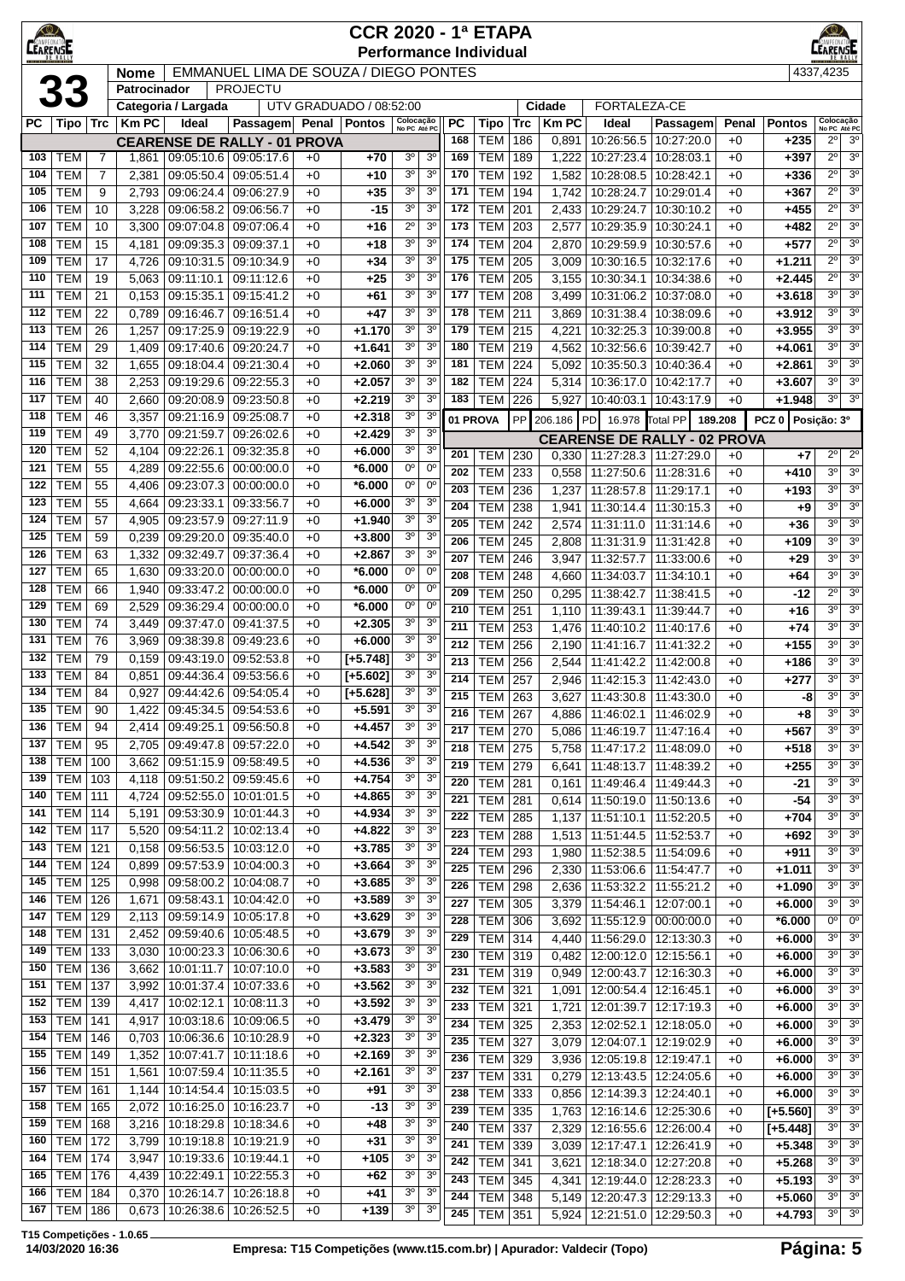| <b>KO</b><br>AMPEONAT<br><b>CEARENSE</b> |                                    | <b>CCR 2020 - 1ª ETAPA</b><br><b>Performance Individual</b>   |                |                             |                                                   |              |                         |                                  |                                  |                  |                          |            |                       |                                       |                                       | <u>KOV</u><br><b>CAMPEONATO</b> |                         |                                          |                                  |
|------------------------------------------|------------------------------------|---------------------------------------------------------------|----------------|-----------------------------|---------------------------------------------------|--------------|-------------------------|----------------------------------|----------------------------------|------------------|--------------------------|------------|-----------------------|---------------------------------------|---------------------------------------|---------------------------------|-------------------------|------------------------------------------|----------------------------------|
|                                          |                                    | EMMANUEL LIMA DE SOUZA / DIEGO PONTES<br>Nome<br>Patrocinador |                |                             |                                                   |              |                         |                                  |                                  |                  |                          |            |                       |                                       |                                       |                                 | 4337,4235               |                                          |                                  |
|                                          | 33                                 |                                                               |                |                             | <b>PROJECTU</b>                                   |              |                         |                                  |                                  |                  |                          |            |                       |                                       |                                       |                                 |                         |                                          |                                  |
|                                          |                                    |                                                               |                | Categoria / Largada         |                                                   |              | UTV GRADUADO / 08:52:00 |                                  |                                  |                  |                          |            | Cidade                | FORTALEZA-CE                          |                                       |                                 |                         |                                          |                                  |
| PС                                       | Tipo   Trc                         |                                                               | <b>Km PC</b>   | Ideal                       | Passagem                                          |              | Penal   Pontos          | Colocação<br>No PC Até PC        |                                  | <b>PC</b><br>168 | Tipo<br><b>TEM</b>       | Trc<br>186 | <b>Km PC</b><br>0,891 | Ideal<br>10:26:56.5                   | Passagem<br>10:27:20.0                | Penal<br>$+0$                   | <b>Pontos</b><br>$+235$ | Colocação<br>No PC Até PC<br>$2^{\circ}$ | 3 <sup>o</sup>                   |
| 103                                      | <b>TEM</b>                         | $\overline{7}$                                                | 1,861          | 09:05:10.6                  | <b>CEARENSE DE RALLY - 01 PROVA</b><br>09:05:17.6 | $+0$         | $+70$                   | 3 <sup>o</sup>                   | 3 <sup>0</sup>                   | 169              | <b>TEM</b>               | 189        | 1,222                 | 10:27:23.4                            | 10:28:03.1                            | $+0$                            | +397                    | $2^{\circ}$                              | 3 <sup>o</sup>                   |
| 104                                      | <b>TEM</b>                         | $\overline{7}$                                                | 2,381          | 09:05:50.4                  | 09:05:51.4                                        | $+0$         | $+10$                   | 3 <sup>o</sup>                   | 3 <sup>o</sup>                   | 170              | <b>TEM</b>               | 192        | 1,582                 | 10:28:08.5                            | 10:28:42.1                            | $+0$                            | +336                    | $2^{\circ}$                              | 3 <sup>0</sup>                   |
| 105                                      | <b>TEM</b>                         | 9                                                             | 2,793          | 09:06:24.4                  | 09:06:27.9                                        | $+0$         | $+35$                   | 30                               | 3 <sup>o</sup>                   | 171              | <b>TEM</b>               | 194        | 1,742                 | 10:28:24.7                            | 10:29:01.4                            | $+0$                            | +367                    | $2^{\circ}$                              | 3 <sup>o</sup>                   |
| 106                                      | <b>TEM</b>                         | 10                                                            | 3,228          | 09:06:58.2                  | 09:06:56.7                                        | $+0$         | $-15$                   | 3 <sup>o</sup>                   | 3 <sup>0</sup>                   | 172              | <b>TEM</b>               | 201        | 2,433                 | 10:29:24.7                            | 10:30:10.2                            | $+0$                            | +455                    | $2^{\circ}$                              | 3 <sup>0</sup>                   |
| 107                                      | <b>TEM</b>                         | 10                                                            | 3,300          | 09:07:04.8                  | 09:07:06.4                                        | $+0$         | $+16$                   | $2^{\circ}$                      | 3 <sup>o</sup>                   | 173              | <b>TEM</b>               | 203        | 2,577                 | 10:29:35.9                            | 10:30:24.1                            | $+0$                            | +482                    | $2^{\circ}$                              | 3 <sup>0</sup>                   |
| 108                                      | <b>TEM</b>                         | 15                                                            | 4,181          | 09:09:35.3                  | 09:09:37.1                                        | $+0$         | +18                     | 3 <sup>o</sup>                   | 3 <sup>0</sup>                   | 174              | <b>TEM</b>               | 204        | 2,870                 | 10:29:59.9                            | 10:30:57.6                            | $+0$                            | +577                    | $2^{\circ}$                              | 3 <sup>o</sup>                   |
| 109                                      | <b>TEM</b>                         | 17                                                            | 4,726          | 09:10:31.5                  | 09:10:34.9                                        | $+0$         | $+34$                   | 30                               | 3 <sup>0</sup>                   | 175              | <b>TEM</b>               | 205        | 3,009                 | 10:30:16.5                            | 10:32:17.6                            | $+0$                            | +1.211                  | $2^{\circ}$<br>$2^{\circ}$               | 3 <sup>o</sup><br>3 <sup>o</sup> |
| 110<br>111                               | <b>TEM</b><br><b>TEM</b>           | 19<br>21                                                      | 5,063<br>0,153 | 09:11:10.1<br>09:15:35.1    | 09:11:12.6<br>09:15:41.2                          | $+0$<br>$+0$ | $+25$<br>+61            | 30<br>30                         | 3 <sup>0</sup><br>3 <sup>0</sup> | 176<br>177       | <b>TEM</b><br><b>TEM</b> | 205<br>208 | 3,155<br>3,499        | 10:30:34.1<br>10:31:06.2              | 10:34:38.6<br>10:37:08.0              | $+0$<br>+0                      | +2.445<br>+3.618        | $3^{\circ}$                              | 3 <sup>o</sup>                   |
| 112                                      | <b>TEM</b>                         | 22                                                            | 0,789          | 09:16:46.7                  | 09:16:51.4                                        | $+0$         | $+47$                   | 3 <sup>o</sup>                   | 3 <sup>0</sup>                   | 178              | <b>TEM</b>               | 211        | 3,869                 | 10:31:38.4                            | 10:38:09.6                            | +0                              | +3.912                  | $3^{\circ}$                              | 3 <sup>o</sup>                   |
| 113                                      | <b>TEM</b>                         | 26                                                            | 1,257          | 09:17:25.9                  | 09:19:22.9                                        | $+0$         | $+1.170$                | 3 <sup>o</sup>                   | 3 <sup>0</sup>                   | 179              | <b>TEM</b>               | 215        | 4,221                 |                                       | 10:32:25.3   10:39:00.8               | $+0$                            | +3.955                  | $3^{\circ}$                              | 3 <sup>0</sup>                   |
| 114                                      | TEM                                | 29                                                            | 1,409          | 09:17:40.6                  | 09:20:24.7                                        | $+0$         | +1.641                  | 30                               | 3 <sup>o</sup>                   | 180              | <b>TEM</b>               | 219        | 4,562                 | 10:32:56.6                            | 10:39:42.7                            | $+0$                            | +4.061                  | $3^{\circ}$                              | 3 <sup>o</sup>                   |
| 115                                      | <b>TEM</b>                         | 32                                                            | 1,655          | 09:18:04.4                  | 09:21:30.4                                        | +0           | +2.060                  | 3 <sup>o</sup>                   | 3 <sup>0</sup>                   | 181              | <b>TEM</b>               | 224        | 5,092                 | 10:35:50.3   10:40:36.4               |                                       | +0                              | +2.861                  | $3^{\circ}$                              | 3 <sup>o</sup>                   |
| 116                                      | <b>TEM</b>                         | 38                                                            | 2,253          | 09:19:29.6                  | 09:22:55.3                                        | $+0$         | $+2.057$                | 3 <sup>o</sup>                   | 3 <sup>0</sup>                   | 182              | <b>TEM</b>               | 224        | 5,314                 | 10:36:17.0                            | 10:42:17.7                            | $+0$                            | +3.607                  | $3^{\circ}$                              | 3 <sup>o</sup>                   |
| 117                                      | <b>TEM</b>                         | 40                                                            | 2,660          | 09:20:08.9                  | 09:23:50.8                                        | $+0$         | +2.219                  | 3 <sup>o</sup>                   | 3 <sup>0</sup>                   | 183              | TEM                      | 226        | 5,927                 | 10:40:03.1   10:43:17.9               |                                       | $+0$                            | +1.948                  | $3^{\circ}$                              | 3 <sup>o</sup>                   |
| 118<br>119                               | <b>TEM</b><br><b>TEM</b>           | 46                                                            | 3,357          | 09:21:16.9                  | 09:25:08.7                                        | $+0$         | $+2.318$<br>$+2.429$    | 3 <sup>o</sup><br>30             | 3 <sup>0</sup><br>3 <sup>0</sup> |                  | 01 PROVA                 | PP         | 206.186 PD            | 16.978                                | Total PP<br>189.208                   |                                 | PCZ 0 Posicão: 3º       |                                          |                                  |
| 120                                      | <b>TEM</b>                         | 49<br>52                                                      | 3,770<br>4,104 | 09:21:59.7<br>09:22:26.1    | 09:26:02.6<br>09:32:35.8                          | $+0$<br>$+0$ | +6.000                  | 3 <sup>o</sup>                   | 3 <sup>o</sup>                   |                  |                          |            |                       |                                       | <b>CEARENSE DE RALLY - 02 PROVA</b>   |                                 |                         |                                          |                                  |
| 121                                      | <b>TEM</b>                         | 55                                                            | 4,289          | 09:22:55.6                  | 00:00:00.0                                        | $+0$         | *6.000                  | $0^{\circ}$                      | $0^{\circ}$                      | 201<br>202       | TEM<br><b>TEM</b>        | 230<br>233 | 0,330                 | 11:27:28.3   11:27:29.0               |                                       | $+0$                            | $+7$                    | $2^{\circ}$<br>$3^{\circ}$               | $2^{\circ}$<br>3 <sup>o</sup>    |
| 122                                      | TEM                                | 55                                                            | 4,406          | 09:23:07.3                  | 00:00:00.0                                        | $+0$         | *6.000                  | 0°                               | $0^{\circ}$                      | 203              | <b>TEM</b>               | 236        | 0,558<br>1,237        | 11:27:50.6<br>11:28:57.8              | 11:28:31.6<br>11:29:17.1              | $+0$<br>$+0$                    | +410<br>+193            | $3^{\circ}$                              | 3 <sup>o</sup>                   |
| 123                                      | <b>TEM</b>                         | 55                                                            | 4,664          | 09:23:33.1                  | 09:33:56.7                                        | $+0$         | +6.000                  | 30                               | 3 <sup>0</sup>                   | 204              | <b>TEM</b>               | 238        | 1,941                 | 11:30:14.4                            | 11:30:15.3                            | $+0$                            | $+9$                    | $3^{\circ}$                              | 3 <sup>o</sup>                   |
| 124                                      | <b>TEM</b>                         | 57                                                            | 4,905          | 09:23:57.9                  | 09:27:11.9                                        | $+0$         | +1.940                  | 3 <sup>o</sup>                   | 3 <sup>o</sup>                   | 205              | <b>TEM</b>               | 242        | 2,574                 | 11:31:11.0                            | 11:31:14.6                            | $+0$                            | $+36$                   | $3^{\circ}$                              | 3 <sup>o</sup>                   |
| 125                                      | <b>TEM</b>                         | 59                                                            | 0,239          | 09:29:20.0                  | 09:35:40.0                                        | $+0$         | +3.800                  | 3 <sup>o</sup>                   | 3 <sup>o</sup>                   | 206              | <b>TEM</b>               | 245        | 2,808                 | 11:31:31.9                            | 11:31:42.8                            | $+0$                            | +109                    | $3^{\circ}$                              | $\overline{3^0}$                 |
| 126                                      | <b>TEM</b>                         | 63                                                            | 1,332          | 09:32:49.7                  | 09:37:36.4                                        | $+0$         | +2.867                  | 3 <sup>o</sup>                   | 3 <sup>o</sup>                   | 207              | <b>TEM</b>               | 246        | 3,947                 | 11:32:57.7                            | 11:33:00.6                            | $+0$                            | $+29$                   | $3^{\circ}$                              | 3 <sup>o</sup>                   |
| 127                                      | <b>TEM</b>                         | 65                                                            | 1,630          | 09:33:20.0                  | 00:00:00.0                                        | $+0$         | *6.000                  | $0^{\circ}$                      | $0^{\circ}$                      | 208              | <b>TEM</b>               | 248        | 4,660                 | 11:34:03.7                            | 11:34:10.1                            | $+0$                            | $+64$                   | $3^{\circ}$                              | 3 <sup>o</sup>                   |
| 128<br>129                               | <b>TEM</b><br><b>TEM</b>           | 66<br>69                                                      | 1,940<br>2,529 | 09:33:47.2<br>09:36:29.4    | 00:00:00.0<br>00:00:00.0                          | $+0$<br>$+0$ | *6.000<br>*6.000        | 0°<br>$0^{\circ}$                | 0°<br>$0^{\circ}$                | 209              | <b>TEM</b>               | 250        | 0,295                 | 11:38:42.7                            | 11:38:41.5                            | $+0$                            | -12                     | $2^{\circ}$                              | 3 <sup>o</sup>                   |
| 130                                      | <b>TEM</b>                         | 74                                                            | 3,449          | 09:37:47.0                  | 09:41:37.5                                        | $+0$         | $+2.305$                | 3 <sup>o</sup>                   | 3 <sup>0</sup>                   | 210              | <b>TEM</b>               | 251        | 1,110                 | 11:39:43.1                            | 11:39:44.7                            | $+0$                            | +16                     | $3^{\circ}$<br>$3^{\circ}$               | 3 <sup>o</sup><br>3 <sup>o</sup> |
| 131                                      | TEM                                | 76                                                            | 3,969          | 09:38:39.8                  | 09:49:23.6                                        | $+0$         | $+6.000$                | 3 <sup>o</sup>                   | 3 <sup>0</sup>                   | 211<br>212       | <b>TEM</b><br><b>TEM</b> | 253<br>256 | 1,476<br>2,190        | 11:40:10.2<br>11:41:16.7              | 11:40:17.6<br>11:41:32.2              | $+0$<br>$+0$                    | $+74$<br>+155           | $3^{\circ}$                              | 3 <sup>0</sup>                   |
| 132                                      | <b>TEM</b>                         | 79                                                            | 0,159          | 09:43:19.0                  | 09:52:53.8                                        | $+0$         | $[-5.748]$              | 3 <sup>o</sup>                   | 3 <sup>0</sup>                   | 213              | <b>TEM</b>               | 256        | 2,544                 | 11:41:42.2                            | 11:42:00.8                            | $+0$                            | +186                    | $3^{\circ}$                              | 3 <sup>o</sup>                   |
| 133                                      | <b>TEM</b>                         | 84                                                            | 0,851          | 09:44:36.4                  | 09:53:56.6                                        | $+0$         | $[+5.602]$              | 30                               | 3 <sup>0</sup>                   | 214              | <b>TEM</b>               | 257        | 2,946                 | 11:42:15.3                            | 11:42:43.0                            | $+0$                            | +277                    | $3^{\circ}$                              | 3 <sup>o</sup>                   |
| 134                                      | <b>TEM</b>                         | 84                                                            | 0,927          | 09:44:42.6                  | 09:54:05.4                                        | $+0$         | $[+5.628]$              | 30                               | 3 <sup>0</sup>                   | 215              | <b>TEM</b>               | 263        | 3,627                 | 11:43:30.8   11:43:30.0               |                                       | $+0$                            | -8                      | $3^{\circ}$                              | $\overline{3^0}$                 |
|                                          | $135$ TEM                          | 90                                                            |                | 1,422 09:45:34.5 09:54:53.6 |                                                   | $+0$         | $+5.591$                | 3 <sup>o</sup>                   | 3 <sup>o</sup>                   | 216              | <b>TEM   267</b>         |            |                       | 4,886   11:46:02.1   11:46:02.9       |                                       | +0                              | +8                      | $3^{\circ}$                              | 3 <sup>o</sup>                   |
| 136                                      | TEM                                | 94                                                            | 2,414          | 09:49:25.1                  | 09:56:50.8                                        | $+0$         | $+4.457$                | 3 <sup>o</sup>                   | 3 <sup>o</sup>                   | 217              | <b>TEM</b> 270           |            | 5,086                 | 11:46:19.7                            | 11:47:16.4                            | $+0$                            | +567                    | $3^{\circ}$                              | 3 <sup>o</sup>                   |
| 137<br>138                               | <b>TEM</b><br><b>TEM   100</b>     | 95                                                            | 2,705<br>3,662 | 09:49:47.8<br>09:51:15.9    | 09:57:22.0<br>09:58:49.5                          | $+0$<br>$+0$ | $+4.542$<br>$+4.536$    | 3 <sup>o</sup><br>3 <sup>0</sup> | 3 <sup>0</sup><br>3 <sup>0</sup> | 218              | <b>TEM</b>               | 275        | 5,758                 | 11:47:17.2                            | 11:48:09.0                            | $+0$                            | +518                    | $3^{\circ}$                              | 3 <sup>o</sup>                   |
| 139                                      | <b>TEM 103</b>                     |                                                               | 4,118          | 09:51:50.2                  | 09:59:45.6                                        | $+0$         | $+4.754$                | 3 <sup>o</sup>                   | 3 <sup>o</sup>                   | 219              | <b>TEM</b>               | 279        | 6,641                 | 11:48:13.7                            | 11:48:39.2                            | +0                              | $+255$                  | $3^{\circ}$<br>$3^{\circ}$               | 3 <sup>o</sup><br>3 <sup>o</sup> |
| 140                                      | <b>TEM 111</b>                     |                                                               | 4,724          | 09:52:55.0                  | 10:01:01.5                                        | $+0$         | $+4.865$                | 3 <sup>o</sup>                   | 3 <sup>o</sup>                   | 220<br>221       | <b>TEM</b><br><b>TEM</b> | 281<br>281 | 0.161<br>0,614        | 11:49:46.4<br>11:50:19.0   11:50:13.6 | 11:49:44.3                            | $+0$<br>$+0$                    | $-21$<br>$-54$          | $3^{\circ}$                              | 3 <sup>o</sup>                   |
| 141                                      | <b>TEM 114</b>                     |                                                               | 5,191          | 09:53:30.9                  | 10:01:44.3                                        | $+0$         | $+4.934$                | $3^{\rm o}$                      | 3 <sup>o</sup>                   | 222              | <b>TEM</b>               | 285        | 1,137                 | 11:51:10.1   11:52:20.5               |                                       | $+0$                            | +704                    | $3^{\circ}$                              | 3 <sup>o</sup>                   |
| 142                                      | <b>TEM 117</b>                     |                                                               | 5,520          | 09:54:11.2                  | 10:02:13.4                                        | $+0$         | $+4.822$                | 3 <sup>o</sup>                   | 3 <sup>0</sup>                   | 223              | <b>TEM</b>               | 288        | 1,513                 | 11:51:44.5                            | 11:52:53.7                            | $+0$                            | +692                    | $3^{\circ}$                              | 3 <sup>o</sup>                   |
| 143                                      | <b>TEM 121</b>                     |                                                               | 0,158          | 09:56:53.5                  | 10:03:12.0                                        | +0           | $+3.785$                | $3^{\rm o}$                      | 3 <sup>o</sup>                   | 224              | <b>TEM</b>               | 293        | 1,980                 | 11:52:38.5                            | 11:54:09.6                            | $+0$                            | $+911$                  | $3^{\circ}$                              | 3 <sup>o</sup>                   |
| 144                                      | <b>TEM   124</b>                   |                                                               | 0,899          | 09:57:53.9                  | 10:04:00.3                                        | +0           | $+3.664$                | $3o$                             | 3 <sup>o</sup>                   | $\overline{225}$ | <b>TEM</b>               | 296        | 2,330                 | 11:53:06.6   11:54:47.7               |                                       | $+0$                            | +1.011                  | $3^{\circ}$                              | 3 <sup>o</sup>                   |
| 145<br>146                               | <b>TEM 125</b><br><b>TEM 126</b>   |                                                               | 0,998<br>1,671 | 09:58:00.2<br>09:58:43.1    | 10:04:08.7<br>10:04:42.0                          | $+0$<br>$+0$ | $+3.685$<br>$+3.589$    | 3 <sup>o</sup><br>3 <sup>o</sup> | 3 <sup>o</sup><br>3 <sup>0</sup> | 226              | <b>TEM</b>               | 298        | 2,636                 | 11:53:32.2   11:55:21.2               |                                       | $+0$                            | +1.090                  | $3^{\circ}$                              | 3 <sup>o</sup>                   |
| 147                                      | <b>TEM   129</b>                   |                                                               | 2,113          | 09:59:14.9                  | 10:05:17.8                                        | $+0$         | $+3.629$                | 3 <sup>o</sup>                   | 3 <sup>o</sup>                   | 227              | <b>TEM</b>               | 305        | 3,379                 | 11:54:46.1                            | 12:07:00.1                            | $+0$                            | $+6.000$                | $3^{\circ}$                              | $3^{\circ}$                      |
| 148                                      | <b>TEM 131</b>                     |                                                               | 2,452          | 09:59:40.6                  | 10:05:48.5                                        | $+0$         | $+3.679$                | 3 <sup>o</sup>                   | 3 <sup>o</sup>                   | 228<br>229       | <b>TEM</b><br><b>TEM</b> | 306<br>314 | 3,692<br>4,440        | 11:55:12.9                            | 00:00:00.0<br>11:56:29.0   12:13:30.3 | +0<br>$+0$                      | *6.000<br>+6.000        | 0°  <br>$3^{\circ}$                      | $0^{\circ}$<br>3 <sup>o</sup>    |
| 149                                      | <b>TEM 133</b>                     |                                                               | 3,030          | 10:00:23.3                  | 10:06:30.6                                        | $+0$         | $+3.673$                | 3 <sup>o</sup>                   | 3 <sup>o</sup>                   | 230              | <b>TEM 319</b>           |            | 0,482                 | 12:00:12.0   12:15:56.1               |                                       | $+0$                            | +6.000                  | $3^{\circ}$                              | 3 <sup>o</sup>                   |
| 150                                      | TEM                                | 136                                                           | 3,662          | 10:01:11.7                  | 10:07:10.0                                        | $+0$         | $+3.583$                | 3 <sup>o</sup>                   | 3 <sup>o</sup>                   | 231              | <b>TEM 319</b>           |            | 0,949                 | 12:00:43.7   12:16:30.3               |                                       | $+0$                            | +6.000                  | $3^{\circ}$                              | 3 <sup>0</sup>                   |
| 151                                      | <b>TEM 137</b>                     |                                                               | 3,992          | 10:01:37.4                  | 10:07:33.6                                        | $+0$         | $+3.562$                | 3 <sup>o</sup>                   | 3 <sup>o</sup>                   | 232              | TEM                      | 321        | 1,091                 | 12:00:54.4   12:16:45.1               |                                       | $+0$                            | +6.000                  | $3^{\circ}$                              | $3^{\circ}$                      |
| 152                                      | TEM                                | 139                                                           | 4,417          | 10:02:12.1                  | 10:08:11.3                                        | +0           | $+3.592$                | $3o$                             | 3 <sup>o</sup>                   | 233              | <b>TEM</b>               | 321        | 1,721                 |                                       | 12:01:39.7   12:17:19.3               | $+0$                            | $+6.000$                | $3^{\circ}$                              | 3 <sup>o</sup>                   |
| 153                                      | <b>TEM   141</b>                   |                                                               | 4,917          | 10:03:18.6                  | 10:09:06.5                                        | +0           | $+3.479$                | 3 <sup>o</sup>                   | 3 <sup>o</sup>                   | 234              | <b>TEM</b>               | 325        | 2,353                 | 12:02:52.1                            | 12:18:05.0                            | $+0$                            | +6.000                  | $3^{\circ}$                              | 3 <sup>o</sup>                   |
| 154<br>155                               | TEM                                | 146                                                           | 0,703          | 10:06:36.6                  | 10:10:28.9                                        | $+0$         | $+2.323$                | 3 <sup>o</sup><br>3 <sup>o</sup> | 3 <sup>o</sup><br>3 <sup>0</sup> | 235              | <b>TEM</b>               | 327        | 3,079                 | 12:04:07.1                            | 12:19:02.9                            | +0                              | $+6.000$                | $3^{\circ}$                              | 3 <sup>o</sup>                   |
| 156                                      | <b>TEM 149</b><br><b>TEM 151</b>   |                                                               | 1,352<br>1,561 | 10:07:41.7<br>10:07:59.4    | 10:11:18.6<br>10:11:35.5                          | $+0$<br>$+0$ | $+2.169$<br>$+2.161$    | 3 <sup>o</sup>                   | 3 <sup>o</sup>                   | 236              | <b>TEM</b>               | 329        | 3,936                 | 12:05:19.8   12:19:47.1               |                                       | $+0$                            | $+6.000$                | $3^{\circ}$                              | 3 <sup>o</sup>                   |
| 157                                      | TEM                                | 161                                                           | 1,144          | 10:14:54.4                  | 10:15:03.5                                        | $+0$         | +91                     | $3^{\rm o}$                      | 3 <sup>o</sup>                   | 237<br>238       | <b>TEM</b><br><b>TEM</b> | 331<br>333 | 0,279                 | 12:13:43.5                            | 12:24:05.6                            | +0                              | +6.000                  | $3^{\circ}$<br>$3^{\circ}$               | 3 <sup>o</sup><br>3 <sup>o</sup> |
| 158                                      | TEM                                | 165                                                           | 2,072          | 10:16:25.0                  | 10:16:23.7                                        | $+0$         | $-13$                   | $3^{\rm o}$                      | 3 <sup>o</sup>                   | 239              | <b>TEM</b>               | 335        | 0,856<br>1,763        | 12:14:39.3   12:24:40.1               | 12:16:14.6 12:25:30.6                 | $+0$<br>$+0$                    | $+6.000$<br>$[-5.560]$  | $3^{\circ}$                              | $\overline{3^0}$                 |
| 159                                      | TEM                                | 168                                                           | 3,216          | 10:18:29.8                  | 10:18:34.6                                        | $+0$         | $+48$                   | 3 <sup>o</sup>                   | 3 <sup>o</sup>                   | 240              | <b>TEM</b>               | 337        | 2,329                 |                                       | 12:16:55.6   12:26:00.4               | $+0$                            | $[-5.448]$              | $3^{\circ}$                              | 3 <sup>o</sup>                   |
| 160                                      | <b>TEM   172</b>                   |                                                               | 3,799          | 10:19:18.8                  | 10:19:21.9                                        | $+0$         | +31                     | 3 <sup>o</sup>                   | 3 <sup>o</sup>                   | 241              | <b>TEM</b>               | 339        | 3,039                 | 12:17:47.1                            | 12:26:41.9                            | $+0$                            | +5.348                  | $3^{\circ}$                              | 3 <sup>o</sup>                   |
| 164                                      | <b>TEM   174</b>                   |                                                               | 3,947          | 10:19:33.6                  | 10:19:44.1                                        | +0           | $+105$                  | 3 <sup>o</sup>                   | 3 <sup>o</sup>                   | 242              | <b>TEM</b>               | 341        | 3,621                 |                                       | 12:18:34.0   12:27:20.8               | $+0$                            | $+5.268$                | $3^{\circ}$                              | 3 <sup>o</sup>                   |
| 165                                      | <b>TEM   176</b>                   |                                                               | 4,439          | 10:22:49.1                  | 10:22:55.3                                        | $+0$         | $+62$                   | 3 <sup>o</sup>                   | 3 <sup>o</sup>                   | 243              | <b>TEM</b>               | 345        | 4,341                 | 12:19:44.0                            | 12:28:23.3                            | $+0$                            | $+5.193$                | $3^{\circ}$                              | $\overline{3^0}$                 |
| 166<br>167                               | <b>TEM   184</b><br><b>TEM 186</b> |                                                               | 0,370<br>0,673 | 10:26:14.7<br>10:26:38.6    | 10:26:18.8<br>10:26:52.5                          | $+0$<br>$+0$ | $+41$<br>$+139$         | 3 <sup>o</sup><br>3 <sup>o</sup> | 3 <sup>o</sup><br>3 <sup>0</sup> | 244              | TEM                      | 348        | 5,149                 |                                       | 12:20:47.3   12:29:13.3               | +0                              | $+5.060$                | $3^{\circ}$                              | 3 <sup>o</sup>                   |
|                                          |                                    |                                                               |                |                             |                                                   |              |                         |                                  |                                  | 245              | TEM                      | 351        | 5,924                 | 12:21:51.0                            | 12:29:50.3                            | $+0$                            | $+4.793$                | $3^{\circ}$                              | 3 <sup>o</sup>                   |

**T15 Competições - 1.0.65**